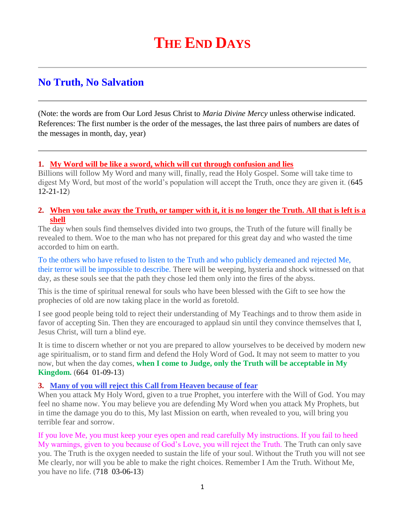# **No Truth, No Salvation**

(Note: the words are from Our Lord Jesus Christ to *Maria Divine Mercy* unless otherwise indicated. References: The first number is the order of the messages, the last three pairs of numbers are dates of the messages in month, day, year)

#### **1. [My Word will be like a sword, which will cut through confusion and lies](http://www.thewarningsecondcoming.com/my-word-will-be-like-a-sword-which-will-cut-through-confusion-and-lies/)**

Billions will follow My Word and many will, finally, read the Holy Gospel. Some will take time to digest My Word, but most of the world's population will accept the Truth, once they are given it. (645 12-21-12)

#### **2. [When you take away the Truth, or tamper with it, it is no longer the Truth. All that is left is a](http://www.thewarningsecondcoming.com/when-you-take-away-the-truth-or-tamper-with-it-it-is-no-longer-the-truth-all-that-is-left-is-a-shell/)  [shell](http://www.thewarningsecondcoming.com/when-you-take-away-the-truth-or-tamper-with-it-it-is-no-longer-the-truth-all-that-is-left-is-a-shell/)**

The day when souls find themselves divided into two groups, the Truth of the future will finally be revealed to them. Woe to the man who has not prepared for this great day and who wasted the time accorded to him on earth.

To the others who have refused to listen to the Truth and who publicly demeaned and rejected Me, their terror will be impossible to describe. There will be weeping, hysteria and shock witnessed on that day, as these souls see that the path they chose led them only into the fires of the abyss.

This is the time of spiritual renewal for souls who have been blessed with the Gift to see how the prophecies of old are now taking place in the world as foretold.

I see good people being told to reject their understanding of My Teachings and to throw them aside in favor of accepting Sin. Then they are encouraged to applaud sin until they convince themselves that I, Jesus Christ, will turn a blind eye.

It is time to discern whether or not you are prepared to allow yourselves to be deceived by modern new age spiritualism, or to stand firm and defend the Holy Word of God**.** It may not seem to matter to you now, but when the day comes, **when I come to Judge, only the Truth will be acceptable in My Kingdom.** (664 01-09-13)

#### **3. [Many of you will reject this Call from Heaven because of fear](http://www.thewarningsecondcoming.com/many-of-you-will-reject-this-call-from-heaven-because-of-fear/)**

When you attack My Holy Word, given to a true Prophet, you interfere with the Will of God. You may feel no shame now. You may believe you are defending My Word when you attack My Prophets, but in time the damage you do to this, My last Mission on earth, when revealed to you, will bring you terrible fear and sorrow.

If you love Me, you must keep your eyes open and read carefully My instructions. If you fail to heed My warnings, given to you because of God's Love, you will reject the Truth. The Truth can only save you. The Truth is the oxygen needed to sustain the life of your soul. Without the Truth you will not see Me clearly, nor will you be able to make the right choices. Remember I Am the Truth. Without Me, you have no life. (718 03-06-13)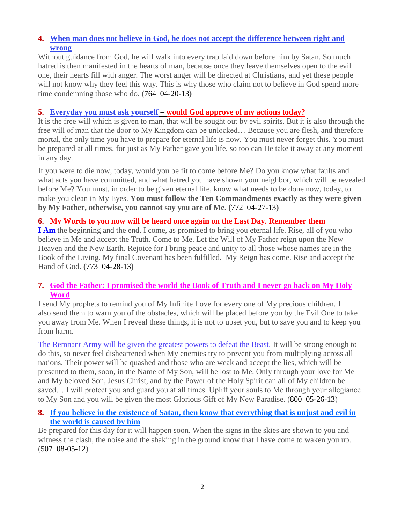## **4. [When man does not believe in God, he does not accept the difference between right and](http://www.thewarningsecondcoming.com/when-man-does-not-believe-in-god-he-does-not-accept-the-difference-between-right-and-wrong/)  [wrong](http://www.thewarningsecondcoming.com/when-man-does-not-believe-in-god-he-does-not-accept-the-difference-between-right-and-wrong/)**

Without guidance from God, he will walk into every trap laid down before him by Satan. So much hatred is then manifested in the hearts of man, because once they leave themselves open to the evil one, their hearts fill with anger. The worst anger will be directed at Christians, and yet these people will not know why they feel this way. This is why those who claim not to believe in God spend more time condemning those who do. **(**764 04-20-13**)**

### **5. Everyday you must ask yourself – would [God approve of my actions today?](http://www.thewarningsecondcoming.com/every-day-you-must-ask-yourself-would-god-approve-of-my-actions-today/)**

It is the free will which is given to man, that will be sought out by evil spirits. But it is also through the free will of man that the door to My Kingdom can be unlocked… Because you are flesh, and therefore mortal, the only time you have to prepare for eternal life is now. You must never forget this. You must be prepared at all times, for just as My Father gave you life, so too can He take it away at any moment in any day.

If you were to die now, today, would you be fit to come before Me? Do you know what faults and what acts you have committed, and what hatred you have shown your neighbor, which will be revealed before Me? You must, in order to be given eternal life, know what needs to be done now, today, to make you clean in My Eyes. **You must follow the Ten Commandments exactly as they were given by My Father, otherwise, you cannot say you are of Me. (**772 04-27-13**)**

## **6. [My Words to you now will be heard once again on the Last Day. Remember them](http://www.thewarningsecondcoming.com/my-words-to-you-now-will-be-heard-once-again-on-the-last-day-remember-them-2/)**

I Am the beginning and the end. I come, as promised to bring you eternal life. Rise, all of you who believe in Me and accept the Truth. Come to Me. Let the Will of My Father reign upon the New Heaven and the New Earth. Rejoice for I bring peace and unity to all those whose names are in the Book of the Living. My final Covenant has been fulfilled. My Reign has come. Rise and accept the Hand of God. **(**773 04-28-13**)**

## **7. [God the Father: I promised the world the Book of Truth and I never go back on My Holy](http://www.thewarningsecondcoming.com/god-the-father-i-promised-the-world-the-book-of-truth-and-i-never-go-back-on-my-holy-word-2/)  [Word](http://www.thewarningsecondcoming.com/god-the-father-i-promised-the-world-the-book-of-truth-and-i-never-go-back-on-my-holy-word-2/)**

I send My prophets to remind you of My Infinite Love for every one of My precious children. I also send them to warn you of the obstacles, which will be placed before you by the Evil One to take you away from Me. When I reveal these things, it is not to upset you, but to save you and to keep you from harm.

The Remnant Army will be given the greatest powers to defeat the Beast. It will be strong enough to do this, so never feel disheartened when My enemies try to prevent you from multiplying across all nations. Their power will be quashed and those who are weak and accept the lies, which will be presented to them, soon, in the Name of My Son, will be lost to Me. Only through your love for Me and My beloved Son, Jesus Christ, and by the Power of the Holy Spirit can all of My children be saved… I will protect you and guard you at all times. Uplift your souls to Me through your allegiance to My Son and you will be given the most Glorious Gift of My New Paradise. (800 05-26-13)

## **8. [If you believe in the existence of Satan, then know that everything that is unjust and evil in](http://www.thewarningsecondcoming.com/if-you-believe-in-the-existence-of-satan-then-know-that-everything-that-is-unjust-and-evil-in-the-world-is-caused-by-him/)  [the world is caused by him](http://www.thewarningsecondcoming.com/if-you-believe-in-the-existence-of-satan-then-know-that-everything-that-is-unjust-and-evil-in-the-world-is-caused-by-him/)**

Be prepared for this day for it will happen soon. When the signs in the skies are shown to you and witness the clash, the noise and the shaking in the ground know that I have come to waken you up. (507 08-05-12)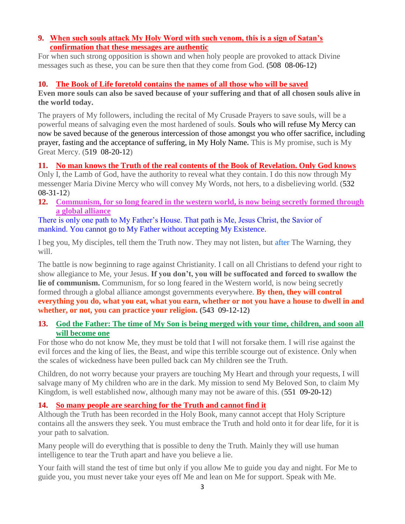#### **9. [When such souls attack My Holy Word with such venom, this is a sign of Satan's](http://www.thewarningsecondcoming.com/when-such-souls-attack-my-holy-word-with-such-venom-this-is-a-sign-of-satans-confirmation-that-these-messages-are-authentic-2/)  [confirmation that these messages are authentic](http://www.thewarningsecondcoming.com/when-such-souls-attack-my-holy-word-with-such-venom-this-is-a-sign-of-satans-confirmation-that-these-messages-are-authentic-2/)**

For when such strong opposition is shown and when holy people are provoked to attack Divine messages such as these, you can be sure then that they come from God. **(**508 08-06-12**)**

## **10. [The Book of Life foretold contains the names of all those who will be saved](http://www.thewarningsecondcoming.com/the-book-of-life-foretold-contains-the-names-of-all-those-who-will-be-saved/)**

**Even more souls can also be saved because of your suffering and that of all chosen souls alive in the world today.**

The prayers of My followers, including the recital of My Crusade Prayers to save souls, will be a powerful means of salvaging even the most hardened of souls. Souls who will refuse My Mercy can now be saved because of the generous intercession of those amongst you who offer sacrifice, including prayer, fasting and the acceptance of suffering, in My Holy Name**.** This is My promise, such is My Great Mercy. (519 08-20-12)

# **11. [No man knows the Truth of the real contents of the Book of Revelation. Only God knows](http://www.thewarningsecondcoming.com/no-man-knows-the-truth-of-the-real-contents-of-the-book-of-revelation-only-god-knows/)**

Only I, the Lamb of God, have the authority to reveal what they contain. I do this now through My messenger Maria Divine Mercy who will convey My Words, not hers, to a disbelieving world. (532 08-31-12)

**12. [Communism, for so long feared in the western world, is now being secretly formed through](http://www.thewarningsecondcoming.com/communism-for-so-long-feared-in-the-western-world-is-now-being-secretly-formed-through-a-global-alliance/)  [a global alliance](http://www.thewarningsecondcoming.com/communism-for-so-long-feared-in-the-western-world-is-now-being-secretly-formed-through-a-global-alliance/)**

There is only one path to My Father's House. That path is Me, Jesus Christ, the Savior of mankind. You cannot go to My Father without accepting My Existence.

I beg you, My disciples, tell them the Truth now. They may not listen, but after The Warning, they will.

The battle is now beginning to rage against Christianity. I call on all Christians to defend your right to show allegiance to Me, your Jesus. **If you don't, you will be suffocated and forced to swallow the lie of communism.** Communism, for so long feared in the Western world, is now being secretly formed through a global alliance amongst governments everywhere. **By then, they will control everything you do, what you eat, what you earn, whether or not you have a house to dwell in and whether, or not, you can practice your religion. (**543 09-12-12**)**

## **13. [God the Father: The time of My Son is being merged with your time, children, and soon all](http://www.thewarningsecondcoming.com/god-the-father-the-time-of-my-son-is-being-merged-with-your-time-children-and-soon-all-will-become-one-2/)  [will become one](http://www.thewarningsecondcoming.com/god-the-father-the-time-of-my-son-is-being-merged-with-your-time-children-and-soon-all-will-become-one-2/)**

For those who do not know Me, they must be told that I will not forsake them. I will rise against the evil forces and the king of lies, the Beast, and wipe this terrible scourge out of existence. Only when the scales of wickedness have been pulled back can My children see the Truth.

Children, do not worry because your prayers are touching My Heart and through your requests, I will salvage many of My children who are in the dark. My mission to send My Beloved Son, to claim My Kingdom, is well established now, although many may not be aware of this. (551 09-20-12)

# **14. [So many people are searching for the Truth and cannot find it](http://www.thewarningsecondcoming.com/so-many-people-are-searching-for-the-truth-and-cannot-find-it/)**

Although the Truth has been recorded in the Holy Book, many cannot accept that Holy Scripture contains all the answers they seek. You must embrace the Truth and hold onto it for dear life, for it is your path to salvation.

Many people will do everything that is possible to deny the Truth. Mainly they will use human intelligence to tear the Truth apart and have you believe a lie.

Your faith will stand the test of time but only if you allow Me to guide you day and night. For Me to guide you, you must never take your eyes off Me and lean on Me for support. Speak with Me.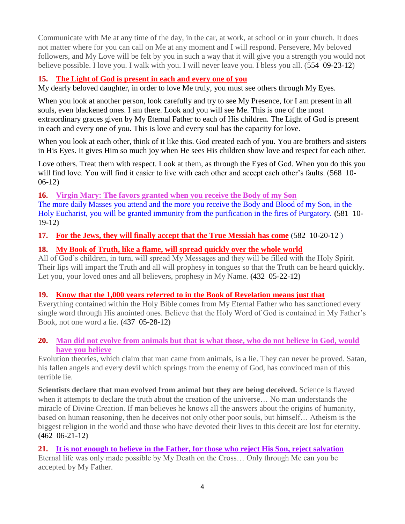Communicate with Me at any time of the day, in the car, at work, at school or in your church. It does not matter where for you can call on Me at any moment and I will respond. Persevere, My beloved followers, and My Love will be felt by you in such a way that it will give you a strength you would not believe possible. I love you. I walk with you. I will never leave you. I bless you all. (554 09-23-12)

# **15. [The Light of God is present in each and every one of you](http://www.thewarningsecondcoming.com/the-light-of-god-is-present-in-each-and-every-one-of-you/)**

My dearly beloved daughter, in order to love Me truly, you must see others through My Eyes.

When you look at another person, look carefully and try to see My Presence, for I am present in all souls, even blackened ones. I am there. Look and you will see Me. This is one of the most extraordinary graces given by My Eternal Father to each of His children. The Light of God is present in each and every one of you. This is love and every soul has the capacity for love.

When you look at each other, think of it like this. God created each of you. You are brothers and sisters in His Eyes. It gives Him so much joy when He sees His children show love and respect for each other.

Love others. Treat them with respect. Look at them, as through the Eyes of God. When you do this you will find love. You will find it easier to live with each other and accept each other's faults. (568 10- 06-12)

### **16. [Virgin Mary: The favors granted when you receive the Body of my Son](http://www.thewarningsecondcoming.com/irgin-mary-the-favovirgin-mary-favours-granted-to-those-who-receive-his-body-and-blood-include-salvation-from-purgatory-if-received-every-day/)**

The more daily Masses you attend and the more you receive the Body and Blood of my Son, in the Holy Eucharist, you will be granted immunity from the purification in the fires of Purgatory. **(**581 10- 19-12**)**

**17. [For the Jews, they will finally accept that the True Messiah has come](http://www.thewarningsecondcoming.com/for-the-jews-they-will-finally-accept-that-the-true-messiah-has-come/)** (582 10-20-12 )

## **18. [My Book of Truth, like a flame, will spread quickly over the whole world](http://www.thewarningsecondcoming.com/my-book-of-truth-like-a-flame-will-spread-quickly-over-the-whole-world/)**

All of God's children, in turn, will spread My Messages and they will be filled with the Holy Spirit. Their lips will impart the Truth and all will prophesy in tongues so that the Truth can be heard quickly. Let you, your loved ones and all believers, prophesy in My Name. **(**432 05-22-12**)**

### **19. [Know that the 1,000 years referred to in the Book of Revelation means just that](http://www.thewarningsecondcoming.com/know-that-the-1000-years-referred-to-in-the-book-of-revelation-means-just-that/)**

Everything contained within the Holy Bible comes from My Eternal Father who has sanctioned every single word through His anointed ones. Believe that the Holy Word of God is contained in My Father's Book, not one word a lie. **(**437 05-28-12**)**

### **20. [Man did not evolve from animals but that is what those, who do not believe in God, would](http://www.thewarningsecondcoming.com/man-did-not-evolve-from-animals-but-that-is-what-those-who-do-not-believe-in-god-would-have-you-believe/)  [have you believe](http://www.thewarningsecondcoming.com/man-did-not-evolve-from-animals-but-that-is-what-those-who-do-not-believe-in-god-would-have-you-believe/)**

Evolution theories, which claim that man came from animals, is a lie. They can never be proved. Satan, his fallen angels and every devil which springs from the enemy of God, has convinced man of this terrible lie.

**Scientists declare that man evolved from animal but they are being deceived.** Science is flawed when it attempts to declare the truth about the creation of the universe… No man understands the miracle of Divine Creation. If man believes he knows all the answers about the origins of humanity, based on human reasoning, then he deceives not only other poor souls, but himself… Atheism is the biggest religion in the world and those who have devoted their lives to this deceit are lost for eternity. **(**462 06-21-12**)**

**21. [It is not enough to believe in the Father,](http://www.thewarningsecondcoming.com/it-is-not-enough-to-believe-in-the-father-for-those-who-reject-his-son-reject-salvation/) for those who reject His Son, reject salvation** Eternal life was only made possible by My Death on the Cross… Only through Me can you be accepted by My Father.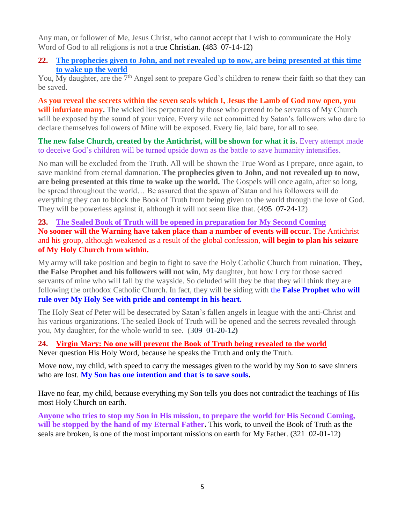Any man, or follower of Me, Jesus Christ, who cannot accept that I wish to communicate the Holy Word of God to all religions is not a true Christian. **(**483 07-14-12)

### **22. [The prophecies given to John, and not revealed up to now, are being presented at this time](http://www.thewarningsecondcoming.com/the-prophecies-given-to-john-and-not-revealed-up-to-now-are-being-presented-at-this-time-to-wake-up-the-world/)  [to wake up the world](http://www.thewarningsecondcoming.com/the-prophecies-given-to-john-and-not-revealed-up-to-now-are-being-presented-at-this-time-to-wake-up-the-world/)**

You, My daughter, are the 7<sup>th</sup> Angel sent to prepare God's children to renew their faith so that they can be saved.

**As you reveal the secrets within the seven seals which I, Jesus the Lamb of God now open, you will infuriate many.** The wicked lies perpetrated by those who pretend to be servants of My Church will be exposed by the sound of your voice. Every vile act committed by Satan's followers who dare to declare themselves followers of Mine will be exposed. Every lie, laid bare, for all to see.

**The new false Church, created by the Antichrist, will be shown for what it is. Every attempt made** to deceive God's children will be turned upside down as the battle to save humanity intensifies.

No man will be excluded from the Truth. All will be shown the True Word as I prepare, once again, to save mankind from eternal damnation. **The prophecies given to John, and not revealed up to now, are being presented at this time to wake up the world.** The Gospels will once again, after so long, be spread throughout the world… Be assured that the spawn of Satan and his followers will do everything they can to block the Book of Truth from being given to the world through the love of God. They will be powerless against it, although it will not seem like that. (495 07-24-12)

**23. [The Sealed Book of Truth will be opened in preparation for My Second Coming](http://www.thewarningsecondcoming.com/the-sealed-book-of-truth-will-be-opened-in-preparation-for-my-second-coming/) No sooner will the Warning have taken place than a number of events will occur.** The Antichrist and his group, although weakened as a result of the global confession, **will begin to plan his seizure of My Holy Church from within.**

My army will take position and begin to fight to save the Holy Catholic Church from ruination. **They, the False Prophet and his followers will not win**, My daughter, but how I cry for those sacred servants of mine who will fall by the wayside. So deluded will they be that they will think they are following the orthodox Catholic Church. In fact, they will be siding with the **False Prophet who will rule over My Holy See with pride and contempt in his heart.** 

The Holy Seat of Peter will be desecrated by Satan's fallen angels in league with the anti-Christ and his various organizations. The sealed Book of Truth will be opened and the secrets revealed through you, My daughter, for the whole world to see. (309 01-20-12**)**

**24. [Virgin Mary: No one will prevent the Book of Truth being revealed to the world](http://www.thewarningsecondcoming.com/virgin-mary-no-one-will-prevent-the-book-of-truth-being-revealed-to-the-world/)** Never question His Holy Word, because he speaks the Truth and only the Truth.

Move now, my child, with speed to carry the messages given to the world by my Son to save sinners who are lost. **My Son has one intention and that is to save souls.**

Have no fear, my child, because everything my Son tells you does not contradict the teachings of His most Holy Church on earth.

**Anyone who tries to stop my Son in His mission, to prepare the world for His Second Coming, will be stopped by the hand of my Eternal Father.** This work, to unveil the Book of Truth as the seals are broken, is one of the most important missions on earth for My Father. (321 02-01-12)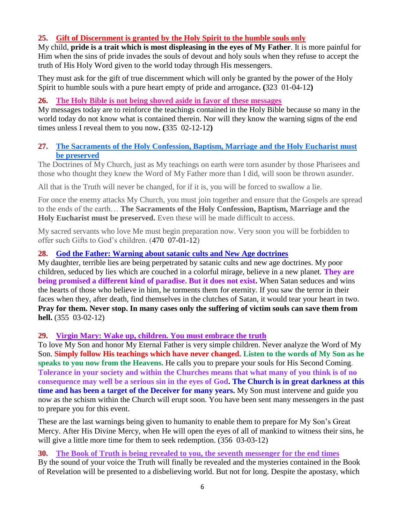# **25. Gift of Discernment is granted by the Holy Spirit to the humble souls only**

My child, **pride is a trait which is most displeasing in the eyes of My Father**. It is more painful for Him when the sins of pride invades the souls of devout and holy souls when they refuse to accept the truth of His Holy Word given to the world today through His messengers.

They must ask for the gift of true discernment which will only be granted by the power of the Holy Spirit to humble souls with a pure heart empty of pride and arrogance**. (**323 01-04-12**)**

### **26. [The Holy Bible is not being shoved aside in favor of these messages](http://www.thewarningsecondcoming.com/the-holy-bible-is-not-being-shoved-aside-in-favour-of-these-messages/)**

My messages today are to reinforce the teachings contained in the Holy Bible because so many in the world today do not know what is contained therein. Nor will they know the warning signs of the end times unless I reveal them to you now**. (**335 02-12-12**)**

### **27. [The Sacraments of the Holy Confession, Baptism, Marriage and the Holy Eucharist must](http://www.thewarningsecondcoming.com/the-sacraments-of-the-holy-confession-baptism-marriage-and-the-holy-eucharist-must-be-preserved/)  [be preserved](http://www.thewarningsecondcoming.com/the-sacraments-of-the-holy-confession-baptism-marriage-and-the-holy-eucharist-must-be-preserved/)**

The Doctrines of My Church, just as My teachings on earth were torn asunder by those Pharisees and those who thought they knew the Word of My Father more than I did, will soon be thrown asunder.

All that is the Truth will never be changed, for if it is, you will be forced to swallow a lie.

For once the enemy attacks My Church, you must join together and ensure that the Gospels are spread to the ends of the earth… **The Sacraments of the Holy Confession, Baptism, Marriage and the Holy Eucharist must be preserved.** Even these will be made difficult to access.

My sacred servants who love Me must begin preparation now. Very soon you will be forbidden to offer such Gifts to God's children. (470 07-01-12)

### **28. [God the Father: Warning about satanic cults and New Age doctrines](http://www.thewarningsecondcoming.com/god-the-father-warning-about-satanic-cults-and-new-age-doctrines/)**

My daughter, terrible lies are being perpetrated by satanic cults and new age doctrines. My poor children, seduced by lies which are couched in a colorful mirage, believe in a new planet. **They are being promised a different kind of paradise. But it does not exist.** When Satan seduces and wins the hearts of those who believe in him, he torments them for eternity. If you saw the terror in their faces when they, after death, find themselves in the clutches of Satan, it would tear your heart in two. **Pray for them. Never stop. In many cases only the suffering of victim souls can save them from hell.** (355 03-02-12)

#### **29. [Virgin Mary: Wake up, children. You must embrace the truth](http://www.thewarningsecondcoming.com/virgin-mary-wake-up-children-you-must-embrace-the-truth/)**

To love My Son and honor My Eternal Father is very simple children. Never analyze the Word of My Son. **Simply follow His teachings which have never changed. Listen to the words of My Son as he speaks to you now from the Heavens.** He calls you to prepare your souls for His Second Coming. **Tolerance in your society and within the Churches means that what many of you think is of no consequence may well be a serious sin in the eyes of God. The Church is in great darkness at this time and has been a target of the Deceiver for many years.** My Son must intervene and guide you now as the schism within the Church will erupt soon. You have been sent many messengers in the past to prepare you for this event.

These are the last warnings being given to humanity to enable them to prepare for My Son's Great Mercy. After His Divine Mercy, when He will open the eyes of all of mankind to witness their sins, he will give a little more time for them to seek redemption. (356 03-03-12)

# **30. [The Book of Truth is being revealed to you, the seventh messenger for the end times](http://www.thewarningsecondcoming.com/the-book-of-truth-is-being-revealed-to-you-the-seventh-messenger-for-the-end-times-2/)**

By the sound of your voice the Truth will finally be revealed and the mysteries contained in the Book of Revelation will be presented to a disbelieving world. But not for long. Despite the apostasy, which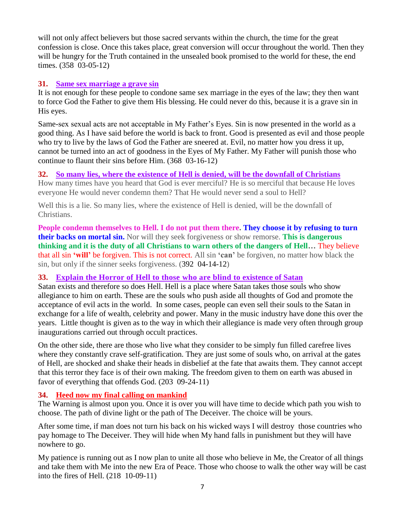will not only affect believers but those sacred servants within the church, the time for the great confession is close. Once this takes place, great conversion will occur throughout the world. Then they will be hungry for the Truth contained in the unsealed book promised to the world for these, the end times. (358 03-05-12)

## **31. [Same sex marriage a grave sin](http://www.thewarningsecondcoming.com/same-sex-marriage-a-grave-sin/)**

It is not enough for these people to condone same sex marriage in the eyes of the law; they then want to force God the Father to give them His blessing. He could never do this, because it is a grave sin in His eyes.

Same-sex sexual acts are not acceptable in My Father's Eyes. Sin is now presented in the world as a good thing. As I have said before the world is back to front. Good is presented as evil and those people who try to live by the laws of God the Father are sneered at. Evil, no matter how you dress it up, cannot be turned into an act of goodness in the Eyes of My Father. My Father will punish those who continue to flaunt their sins before Him. (368 03-16-12)

# **32. [So many lies, where the existence of Hell is denied, will be the downfall of Christians](http://www.thewarningsecondcoming.com/so-many-lies-where-the-existence-of-hell-is-denied-will-be-the-downfall-of-christians/)**

How many times have you heard that God is ever merciful? He is so merciful that because He loves everyone He would never condemn them? That He would never send a soul to Hell?

Well this is a lie. So many lies, where the existence of Hell is denied, will be the downfall of Christians.

**People condemn themselves to Hell. I do not put them there. They choose it by refusing to turn their backs on mortal sin.** Nor will they seek forgiveness or show remorse. **This is dangerous thinking and it is the duty of all Christians to warn others of the dangers of Hell…** They believe that all sin **'will'** be forgiven. This is not correct. All sin **'can'** be forgiven, no matter how black the sin, but only if the sinner seeks forgiveness. (392 04-14-12)

# **33. [Explain the Horror of Hell to those who are blind to](http://www.thewarningsecondcoming.com/explain-the-horror-of-hell-to-those-who-are-blind-to-existence-of-satan/) existence of Satan**

Satan exists and therefore so does Hell. Hell is a place where Satan takes those souls who show allegiance to him on earth. These are the souls who push aside all thoughts of God and promote the acceptance of evil acts in the world. In some cases, people can even sell their souls to the Satan in exchange for a life of wealth, celebrity and power. Many in the music industry have done this over the years. Little thought is given as to the way in which their allegiance is made very often through group inaugurations carried out through occult practices.

On the other side, there are those who live what they consider to be simply fun filled carefree lives where they constantly crave self-gratification. They are just some of souls who, on arrival at the gates of Hell, are shocked and shake their heads in disbelief at the fate that awaits them. They cannot accept that this terror they face is of their own making. The freedom given to them on earth was abused in favor of everything that offends God. (203 09-24-11)

# **34. Heed now my final calling on mankind**

The Warning is almost upon you. Once it is over you will have time to decide which path you wish to choose. The path of divine light or the path of The Deceiver. The choice will be yours.

After some time, if man does not turn his back on his wicked ways I will destroy those countries who pay homage to The Deceiver. They will hide when My hand falls in punishment but they will have nowhere to go.

My patience is running out as I now plan to unite all those who believe in Me, the Creator of all things and take them with Me into the new Era of Peace. Those who choose to walk the other way will be cast into the fires of Hell. (218 10-09-11)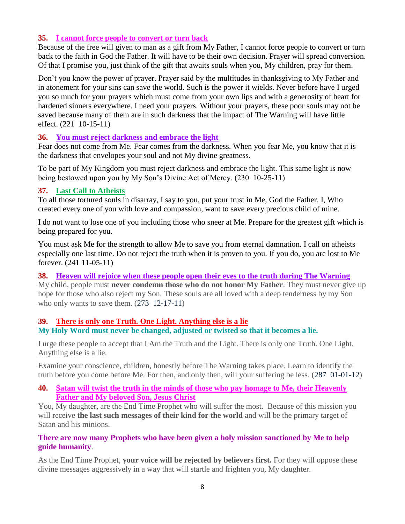#### **35. [I cannot force people to convert or turn back](http://www.thewarningsecondcoming.com/i-cannot-force-people-to-convert-or-turn-back/)**

Because of the free will given to man as a gift from My Father, I cannot force people to convert or turn back to the faith in God the Father. It will have to be their own decision. Prayer will spread conversion. Of that I promise you, just think of the gift that awaits souls when you, My children, pray for them.

Don't you know the power of prayer. Prayer said by the multitudes in thanksgiving to My Father and in atonement for your sins can save the world. Such is the power it wields. Never before have I urged you so much for your prayers which must come from your own lips and with a generosity of heart for hardened sinners everywhere. I need your prayers. Without your prayers, these poor souls may not be saved because many of them are in such darkness that the impact of The Warning will have little effect. (221 10-15-11)

### **36. You must reject darkness and embrace the light**

Fear does not come from Me. Fear comes from the darkness. When you fear Me, you know that it is the darkness that envelopes your soul and not My divine greatness.

To be part of My Kingdom you must reject darkness and embrace the light. This same light is now being bestowed upon you by My Son's Divine Act of Mercy. (230 10-25-11)

#### **37. Last Call to Atheists**

To all those tortured souls in disarray, I say to you, put your trust in Me, God the Father. I, Who created every one of you with love and compassion, want to save every precious child of mine.

I do not want to lose one of you including those who sneer at Me. Prepare for the greatest gift which is being prepared for you.

You must ask Me for the strength to allow Me to save you from eternal damnation. I call on atheists especially one last time. Do not reject the truth when it is proven to you. If you do, you are lost to Me forever. (241 11-05-11)

### **38. Heaven will rejoice when these people open their eyes to the truth during The Warning**

My child, people must **never condemn those who do not honor My Father**. They must never give up hope for those who also reject my Son. These souls are all loved with a deep tenderness by my Son who only wants to save them.  $(273 \text{ } 12\text{-}17\text{-}11)$ 

#### **39. [There is only one Truth. One Light. Anything else is a lie](http://www.thewarningsecondcoming.com/there-is-only-one-truth-one-light-anything-else-is-a-lie/) My Holy Word must never be changed, adjusted or twisted so that it becomes a lie.**

I urge these people to accept that I Am the Truth and the Light. There is only one Truth. One Light. Anything else is a lie.

Examine your conscience, children, honestly before The Warning takes place. Learn to identify the truth before you come before Me. For then, and only then, will your suffering be less. (287 01-01-12)

### **40. Satan will twist the truth in the minds of those who pay homage to Me, their Heavenly Father and My beloved Son, Jesus Christ**

You, My daughter, are the End Time Prophet who will suffer the most. Because of this mission you will receive **the last such messages of their kind for the world** and will be the primary target of Satan and his minions.

#### **There are now many Prophets who have been given a holy mission sanctioned by Me to help guide humanity**.

As the End Time Prophet, **your voice will be rejected by believers first.** For they will oppose these divine messages aggressively in a way that will startle and frighten you, My daughter.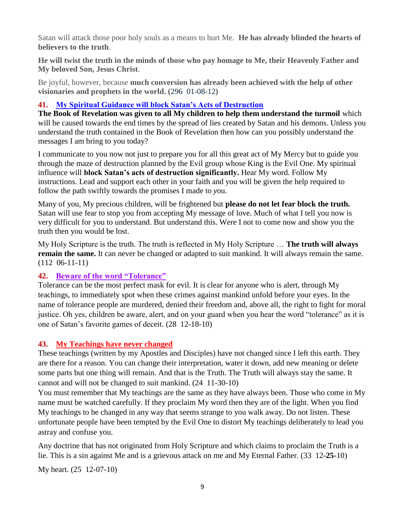Satan will attack those poor holy souls as a means to hurt Me. **He has already blinded the hearts of believers to the truth**.

**He will twist the truth in the minds of those who pay homage to Me, their Heavenly Father and My beloved Son, Jesus Christ**.

Be joyful, however, because **much conversion has already been achieved with the help of other visionaries and prophets in the world. (**296 01-08-12**)**

## **41. [My Spiritual Guidance will block Satan's Acts of Destruction](http://www.thewarningsecondcoming.com/my-spiritual-guidance-will-block-satans-acts-of-destruction/)**

**The Book of Revelation was given to all My children to help them understand the turmoil** which will be caused towards the end times by the spread of lies created by Satan and his demons. Unless you understand the truth contained in the Book of Revelation then how can you possibly understand the messages I am bring to you today?

I communicate to you now not just to prepare you for all this great act of My Mercy but to guide you through the maze of destruction planned by the Evil group whose King is the Evil One. My spiritual influence will **block Satan's acts of destruction significantly.** Hear My word. Follow My instructions. Lead and support each other in your faith and you will be given the help required to follow the path swiftly towards the promises I made to *y*ou.

Many of you, My precious children, will be frightened but **please do not let fear block the truth.**  Satan will use fear to stop you from accepting My message of love. Much of what I tell you now is very difficult for you to understand. But understand this. Were I not to come now and show you the truth then you would be lost.

My Holy Scripture is the truth. The truth is reflected in My Holy Scripture … **The truth will always remain the same.** It can never be changed or adapted to suit mankind. It will always remain the same. (112 06-11-11)

### **42. Beware of the word "Tolerance"**

Tolerance can be the most perfect mask for evil. It is clear for anyone who is alert, through My teachings, to immediately spot when these crimes against mankind unfold before your eyes. In the name of tolerance people are murdered, denied their freedom and, above all, the right to fight for moral justice. Oh yes, children be aware, alert, and on your guard when you hear the word "tolerance" as it is one of Satan's favorite games of deceit. (28 12-18-10)

### **43. My Teachings have never changed**

These teachings (written by my Apostles and Disciples) have not changed since I left this earth. They are there for a reason. You can change their interpretation, water it down, add new meaning or delete some parts but one thing will remain. And that is the Truth. The Truth will always stay the same. It cannot and will not be changed to suit mankind. (24 11-30-10)

You must remember that My teachings are the same as they have always been. Those who come in My name must be watched carefully. If they proclaim My word then they are of the light. When you find My teachings to be changed in any way that seems strange to you walk away. Do not listen. These unfortunate people have been tempted by the Evil One to distort My teachings deliberately to lead you astray and confuse you.

Any doctrine that has not originated from Holy Scripture and which claims to proclaim the Truth is a lie. This is a sin against Me and is a grievous attack on me and My Eternal Father. (33 12**-25-**10)

My heart. (25 12-07-10)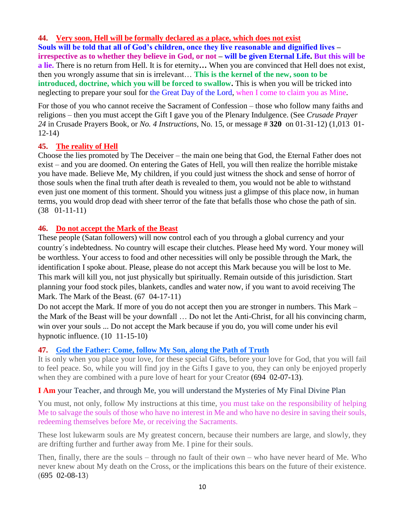# **44. Very soon, Hell will be formally [declared as a place, which does not exist](http://www.thewarningsecondcoming.com/very-soon-hell-will-be-formally-declared-as-a-place-which-does-not-exist/)**

**Souls will be told that all of God's children, once they live reasonable and dignified lives – irrespective as to whether they believe in God, or not – will be given Eternal Life. But this will be a lie.** There is no return from Hell. It is for eternity**…** When you are convinced that Hell does not exist, then you wrongly assume that sin is irrelevant… **This is the kernel of the new, soon to be introduced, doctrine, which you will be forced to swallow.** This is when you will be tricked into neglecting to prepare your soul for the Great Day of the Lord, when I come to claim you as Mine.

For those of you who cannot receive the Sacrament of Confession – those who follow many faiths and religions – then you must accept the Gift I gave you of the Plenary Indulgence. (See *Crusade Prayer 24* in Crusade Prayers Book, or *No. 4 Instructions*, No. 15, or message # **320** on 01-31-12) (1,013 01- 12-14)

### **45. The reality of Hell**

Choose the lies promoted by The Deceiver – the main one being that God, the Eternal Father does not exist – and you are doomed. On entering the Gates of Hell, you will then realize the horrible mistake you have made. Believe Me, My children, if you could just witness the shock and sense of horror of those souls when the final truth after death is revealed to them, you would not be able to withstand even just one moment of this torment. Should you witness just a glimpse of this place now, in human terms, you would drop dead with sheer terror of the fate that befalls those who chose the path of sin. (38 01-11-11)

## **46. Do not accept the Mark of the Beast**

These people (Satan followers) will now control each of you through a global currency and your country´s indebtedness. No country will escape their clutches. Please heed My word. Your money will be worthless. Your access to food and other necessities will only be possible through the Mark, the identification I spoke about. Please, please do not accept this Mark because you will be lost to Me. This mark will kill you, not just physically but spiritually. Remain outside of this jurisdiction. Start planning your food stock piles, blankets, candles and water now, if you want to avoid receiving The Mark. The Mark of the Beast. (67 04-17-11)

Do not accept the Mark. If more of you do not accept then you are stronger in numbers. This Mark – the Mark of the Beast will be your downfall … Do not let the Anti-Christ, for all his convincing charm, win over your souls ... Do not accept the Mark because if you do, you will come under his evil hypnotic influence. (10 11-15-10)

### **47. [God the Father: Come, follow My Son, along the Path of Truth](http://www.thewarningsecondcoming.com/god-the-father-come-follow-my-son-along-the)**

It is only when you place your love, for these special Gifts, before your love for God, that you will fail to feel peace. So, while you will find joy in the Gifts I gave to you, they can only be enjoyed properly when they are combined with a pure love of heart for your Creator (694 02-07-13).

### **I Am** [your Teacher, and through Me, you will understand the Mysteries of My Final Divine Plan](http://www.thewarningsecondcoming.com/i-am-your-teacher-and-through-me-you-will-u)

You must, not only, follow My instructions at this time, you must take on the responsibility of helping Me to salvage the souls of those who have no interest in Me and who have no desire in saving their souls, redeeming themselves before Me, or receiving the Sacraments.

These lost lukewarm souls are My greatest concern, because their numbers are large, and slowly, they are drifting further and further away from Me. I pine for their souls.

Then, finally, there are the souls – through no fault of their own – who have never heard of Me. Who never knew about My death on the Cross, or the implications this bears on the future of their existence. (695 02-08-13)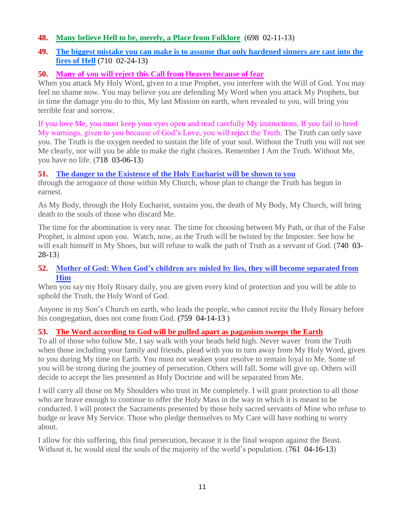### **48. [Many believe Hell to be, merely, a Place from Folklore](http://www.thewarningsecondcoming.com/many-believe-hell-to-be-merely-a-place-from)** (698 02-11-13)

### **49. [The biggest mistake you can make is to assume that only hardened sinners are cast into the](http://www.thewarningsecondcoming.com/the-biggest-mistake-you-can-make-is-to-assume-that-only-hardened-sinners-are-cast-into-the-fires-of-hell/)  [fires of Hell](http://www.thewarningsecondcoming.com/the-biggest-mistake-you-can-make-is-to-assume-that-only-hardened-sinners-are-cast-into-the-fires-of-hell/)** (710 02-24-13)

### **50. [Many of you will reject this Call from Heaven because of](http://www.thewarningsecondcoming.com/many-of-you-will-reject-this-call-from-heaven-because-of-fear/) fear**

When you attack My Holy Word, given to a true Prophet, you interfere with the Will of God. You may feel no shame now. You may believe you are defending My Word when you attack My Prophets, but in time the damage you do to this, My last Mission on earth, when revealed to you, will bring you terrible fear and sorrow.

If you love Me, you must keep your eyes open and read carefully My instructions. If you fail to heed My warnings, given to you because of God's Love, you will reject the Truth. The Truth can only save you. The Truth is the oxygen needed to sustain the life of your soul. Without the Truth you will not see Me clearly, nor will you be able to make the right choices. Remember I Am the Truth. Without Me, you have no life. (718 03-06-13)

### **51. [The danger to the Existence of the Holy Eucharist will be shown to you](http://www.thewarningsecondcoming.com/the-danger-to-the-existence-of-the-holy-eucharist-will-be-shown-to-you/)**

through the arrogance of those within My Church, whose plan to change the Truth has begun in earnest.

As My Body, through the Holy Eucharist, sustains you, the death of My Body, My Church, will bring death to the souls of those who discard Me.

The time for the abomination is very near. The time for choosing between My Path, or that of the False Prophet, is almost upon you. Watch, now, as the Truth will be twisted by the Imposter. See how he will exalt himself in My Shoes, but will refuse to walk the path of Truth as a servant of God. (740 03-28-13)

## **52. [Mother of God: When God's children are misled by lies, they will become separated from](http://www.thewarningsecondcoming.com/mother-of-god-when-gods-children-are-misled-by-lies-they-will-become-separated-from-him/)  [Him](http://www.thewarningsecondcoming.com/mother-of-god-when-gods-children-are-misled-by-lies-they-will-become-separated-from-him/)**

When you say my Holy Rosary daily, you are given every kind of protection and you will be able to uphold the Truth, the Holy Word of God.

Anyone in my Son's Church on earth, who leads the people, who cannot recite the Holy Rosary before his congregation, does not come from God. **(**759 04-14-13 **)**

# **53. [The Word according to God will be pulled apart as paganism sweeps the Earth](http://www.thewarningsecondcoming.com/the-word-according-to-god-will-be-pulled-apart-as-paganism-sweeps-the-earth/)**

To all of those who follow Me, I say walk with your heads held high. Never waver from the Truth when those including your family and friends, plead with you to turn away from My Holy Word, given to you during My time on Earth. You must not weaken your resolve to remain loyal to Me. Some of you will be strong during the journey of persecution. Others will fall. Some will give up. Others will decide to accept the lies presented as Holy Doctrine and will be separated from Me.

I will carry all those on My Shoulders who trust in Me completely. I will grant protection to all those who are brave enough to continue to offer the Holy Mass in the way in which it is meant to be conducted. I will protect the Sacraments presented by those holy sacred servants of Mine who refuse to budge or leave My Service. Those who pledge themselves to My Care will have nothing to worry about.

I allow for this suffering, this final persecution, because it is the final weapon against the Beast. Without it, he would steal the souls of the majority of the world's population. (761 04-16-13)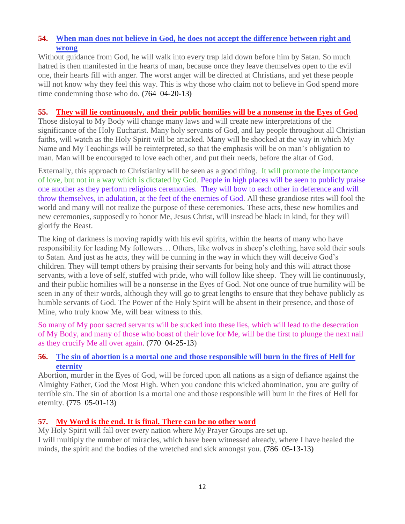## **54. [When man does not believe in God, he does not accept the difference between right and](http://www.thewarningsecondcoming.com/when-man-does-not-believe-in-god-he-does-not-accept-the-difference-between-right-and-wrong/)  [wrong](http://www.thewarningsecondcoming.com/when-man-does-not-believe-in-god-he-does-not-accept-the-difference-between-right-and-wrong/)**

Without guidance from God, he will walk into every trap laid down before him by Satan. So much hatred is then manifested in the hearts of man, because once they leave themselves open to the evil one, their hearts fill with anger. The worst anger will be directed at Christians, and yet these people will not know why they feel this way. This is why those who claim not to believe in God spend more time condemning those who do. **(**764 04-20-13**)**

### **55. [They will lie continuously, and their public homilies will be a nonsense in the Eyes of God](http://www.thewarningsecondcoming.com/they-will-lie-continuously-and-their-public-homilies-will-be-a-nonsense-in-the-eyes-of-god/)**

Those disloyal to My Body will change many laws and will create new interpretations of the significance of the Holy Eucharist. Many holy servants of God, and lay people throughout all Christian faiths, will watch as the Holy Spirit will be attacked. Many will be shocked at the way in which My Name and My Teachings will be reinterpreted, so that the emphasis will be on man's obligation to man. Man will be encouraged to love each other, and put their needs, before the altar of God.

Externally, this approach to Christianity will be seen as a good thing. It will promote the importance of love, but not in a way which is dictated by God. People in high places will be seen to publicly praise one another as they perform religious ceremonies. They will bow to each other in deference and will throw themselves, in adulation, at the feet of the enemies of God. All these grandiose rites will fool the world and many will not realize the purpose of these ceremonies. These acts, these new homilies and new ceremonies, supposedly to honor Me, Jesus Christ, will instead be black in kind, for they will glorify the Beast.

The king of darkness is moving rapidly with his evil spirits, within the hearts of many who have responsibility for leading My followers… Others, like wolves in sheep's clothing, have sold their souls to Satan. And just as he acts, they will be cunning in the way in which they will deceive God's children. They will tempt others by praising their servants for being holy and this will attract those servants, with a love of self, stuffed with pride, who will follow like sheep. They will lie continuously, and their public homilies will be a nonsense in the Eyes of God. Not one ounce of true humility will be seen in any of their words, although they will go to great lengths to ensure that they behave publicly as humble servants of God. The Power of the Holy Spirit will be absent in their presence, and those of Mine, who truly know Me, will bear witness to this.

So many of My poor sacred servants will be sucked into these lies, which will lead to the desecration of My Body, and many of those who boast of their love for Me, will be the first to plunge the next nail as they crucify Me all over again. (770 04-25-13)

# **56. [The sin of abortion is a mortal one and those responsible will burn in the fires of Hell for](http://www.thewarningsecondcoming.com/the-sin-of-abortion-is-a-mortal-one-and-those-responsible-will-burn-in-the-fires-of-hell-for-eternity/)  [eternity](http://www.thewarningsecondcoming.com/the-sin-of-abortion-is-a-mortal-one-and-those-responsible-will-burn-in-the-fires-of-hell-for-eternity/)**

Abortion, murder in the Eyes of God, will be forced upon all nations as a sign of defiance against the Almighty Father, God the Most High. When you condone this wicked abomination, you are guilty of terrible sin. The sin of abortion is a mortal one and those responsible will burn in the fires of Hell for eternity. **(**775 05-01-13**)**

# **57. [My Word is the end. It is final. There can be no other word](http://www.thewarningsecondcoming.com/my-word-is-the-end-it-is-final-there-can-be-no-other-word/)**

My Holy Spirit will fall over every nation where My Prayer Groups are set up. I will multiply the number of miracles, which have been witnessed already, where I have healed the minds, the spirit and the bodies of the wretched and sick amongst you. **(**786 05-13-13**)**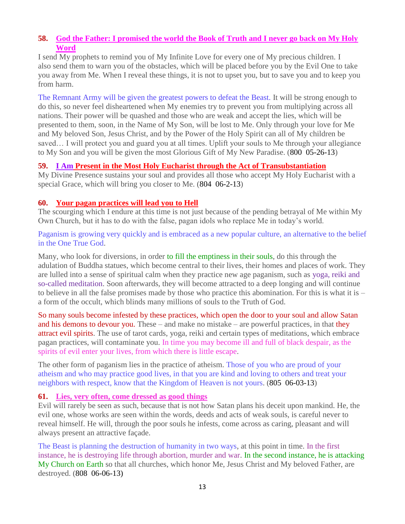### **58. [God the Father: I promised the world the Book of Truth and I never go back on My Holy](http://www.thewarningsecondcoming.com/god-the-father-i-promised-the-world-the-book-of-truth-and-i-never-go-back-on-my-holy-word-2/)  [Word](http://www.thewarningsecondcoming.com/god-the-father-i-promised-the-world-the-book-of-truth-and-i-never-go-back-on-my-holy-word-2/)**

I send My prophets to remind you of My Infinite Love for every one of My precious children. I also send them to warn you of the obstacles, which will be placed before you by the Evil One to take you away from Me. When I reveal these things, it is not to upset you, but to save you and to keep you from harm.

The Remnant Army will be given the greatest powers to defeat the Beast. It will be strong enough to do this, so never feel disheartened when My enemies try to prevent you from multiplying across all nations. Their power will be quashed and those who are weak and accept the lies, which will be presented to them, soon, in the Name of My Son, will be lost to Me. Only through your love for Me and My beloved Son, Jesus Christ, and by the Power of the Holy Spirit can all of My children be saved… I will protect you and guard you at all times. Uplift your souls to Me through your allegiance to My Son and you will be given the most Glorious Gift of My New Paradise. (800 05-26-13)

### **59. I Am [Present in the Most Holy Eucharist through the Act of Transubstantiation](http://www.thewarningsecondcoming.com/i-am-present-in-the-most-holy-eucharist-through-the-act-of-transubstantiation/)**

My Divine Presence sustains your soul and provides all those who accept My Holy Eucharist with a special Grace, which will bring you closer to Me. (804 06-2-13)

#### **60. [Your pagan practices will lead you to Hell](http://www.thewarningsecondcoming.com/your-pagan-practices-will-lead-you-to-hell/)**

The scourging which I endure at this time is not just because of the pending betrayal of Me within My Own Church, but it has to do with the false, pagan idols who replace Me in today's world.

Paganism is growing very quickly and is embraced as a new popular culture, an alternative to the belief in the One True God.

Many, who look for diversions, in order to fill the emptiness in their souls, do this through the adulation of Buddha statues, which become central to their lives, their homes and places of work. They are lulled into a sense of spiritual calm when they practice new age paganism, such as yoga, reiki and so-called meditation. Soon afterwards, they will become attracted to a deep longing and will continue to believe in all the false promises made by those who practice this abomination. For this is what it is  $$ a form of the occult, which blinds many millions of souls to the Truth of God.

So many souls become infested by these practices, which open the door to your soul and allow Satan and his demons to devour you. These – and make no mistake – are powerful practices, in that they attract evil spirits. The use of tarot cards, yoga, reiki and certain types of meditations, which embrace pagan practices, will contaminate you. In time you may become ill and full of black despair, as the spirits of evil enter your lives, from which there is little escape.

The other form of paganism lies in the practice of atheism. Those of you who are proud of your atheism and who may practice good lives, in that you are kind and loving to others and treat your neighbors with respect, know that the Kingdom of Heaven is not yours. (805 06-03-13)

### **61. [Lies, very often, come dressed as good things](http://www.thewarningsecondcoming.com/lies-very-often-come-dressed-as-good-things/)**

Evil will rarely be seen as such, because that is not how Satan plans his deceit upon mankind. He, the evil one, whose works are seen within the words, deeds and acts of weak souls, is careful never to reveal himself. He will, through the poor souls he infests, come across as caring, pleasant and will always present an attractive façade.

The Beast is planning the destruction of humanity in two ways, at this point in time. In the first instance, he is destroying life through abortion, murder and war. In the second instance, he is attacking My Church on Earth so that all churches, which honor Me, Jesus Christ and My beloved Father, are destroyed. (808 06-06-13)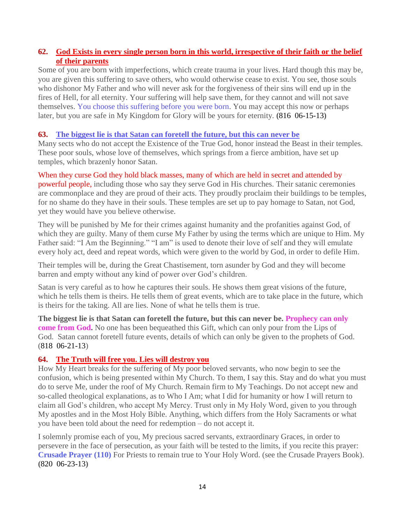### **62. [God Exists in every single person born in this world, irrespective of their faith or the belief](http://www.thewarningsecondcoming.com/god-exists-in-every-single-person-born-in-this-world-irrespective-of-their-faith-or-the-belief-of-their-parents/)  [of their parents](http://www.thewarningsecondcoming.com/god-exists-in-every-single-person-born-in-this-world-irrespective-of-their-faith-or-the-belief-of-their-parents/)**

Some of you are born with imperfections, which create trauma in your lives. Hard though this may be, you are given this suffering to save others, who would otherwise cease to exist. You see, those souls who dishonor My Father and who will never ask for the forgiveness of their sins will end up in the fires of Hell, for all eternity. Your suffering will help save them, for they cannot and will not save themselves. You choose this suffering before you were born. You may accept this now or perhaps later, but you are safe in My Kingdom for Glory will be yours for eternity. **(**816 06-15-13**)**

## **63. [The biggest lie is that Satan can foretell](http://www.thewarningsecondcoming.com/the-biggest-lie-is-that-satan-can-foretell-the-future-but-this-can-never-be/) the future, but this can never be**

Many sects who do not accept the Existence of the True God, honor instead the Beast in their temples. These poor souls, whose love of themselves, which springs from a fierce ambition, have set up temples, which brazenly honor Satan.

When they curse God they hold black masses, many of which are held in secret and attended by powerful people, including those who say they serve God in His churches. Their satanic ceremonies are commonplace and they are proud of their acts. They proudly proclaim their buildings to be temples, for no shame do they have in their souls. These temples are set up to pay homage to Satan, not God, yet they would have you believe otherwise.

They will be punished by Me for their crimes against humanity and the profanities against God, of which they are guilty. Many of them curse My Father by using the terms which are unique to Him. My Father said: "I Am the Beginning." "I am" is used to denote their love of self and they will emulate every holy act, deed and repeat words, which were given to the world by God, in order to defile Him.

Their temples will be, during the Great Chastisement, torn asunder by God and they will become barren and empty without any kind of power over God's children.

Satan is very careful as to how he captures their souls. He shows them great visions of the future, which he tells them is theirs. He tells them of great events, which are to take place in the future, which is theirs for the taking. All are lies. None of what he tells them is true.

**The biggest lie is that Satan can foretell the future, but this can never be. Prophecy can only come from God.** No one has been bequeathed this Gift, which can only pour from the Lips of God. Satan cannot foretell future events, details of which can only be given to the prophets of God. (818 06-21-13)

### **64. [The Truth will free you.](http://www.thewarningsecondcoming.com/the-truth-will-free-you-lies-will-destroy-you/) Lies will destroy you**

How My Heart breaks for the suffering of My poor beloved servants, who now begin to see the confusion, which is being presented within My Church. To them, I say this. Stay and do what you must do to serve Me, under the roof of My Church. Remain firm to My Teachings. Do not accept new and so-called theological explanations, as to Who I Am; what I did for humanity or how I will return to claim all God's children, who accept My Mercy. Trust only in My Holy Word, given to you through My apostles and in the Most Holy Bible. Anything, which differs from the Holy Sacraments or what you have been told about the need for redemption – do not accept it.

I solemnly promise each of you, My precious sacred servants, extraordinary Graces, in order to persevere in the face of persecution, as your faith will be tested to the limits, if you recite this prayer: **Crusade Prayer (110)** For Priests to remain true to Your Holy Word. (see the Crusade Prayers Book). **(**820 06-23-13**)**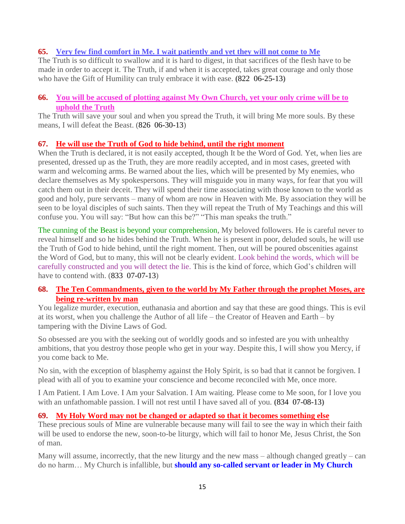### **65. Very few find comfort [in Me. I wait patiently and yet they will not come to Me](http://www.thewarningsecondcoming.com/very-few-find-comfort-in-me-i-wait-patiently-and-yet-they-will-not-come-to-me-2/)**

The Truth is so difficult to swallow and it is hard to digest, in that sacrifices of the flesh have to be made in order to accept it. The Truth, if and when it is accepted, takes great courage and only those who have the Gift of Humility can truly embrace it with ease. **(**822 06-25-13**)**

#### **66. [You will be accused of plotting against My Own Church, yet your only crime will be to](http://www.thewarningsecondcoming.com/you-will-be-accused-of-plotting-against-my-own-church-yet-your-only-crime-will-be-to-uphold-the-truth/)  [uphold the Truth](http://www.thewarningsecondcoming.com/you-will-be-accused-of-plotting-against-my-own-church-yet-your-only-crime-will-be-to-uphold-the-truth/)**

The Truth will save your soul and when you spread the Truth, it will bring Me more souls. By these means, I will defeat the Beast. (826 06-30-13)

### **67. [He will use the Truth of God to hide behind, until the right moment](http://www.thewarningsecondcoming.com/he-will-use-the-truth-of-god-to-hide-behind-until-the-right-moment/)**

When the Truth is declared, it is not easily accepted, though It be the Word of God. Yet, when lies are presented, dressed up as the Truth, they are more readily accepted, and in most cases, greeted with warm and welcoming arms. Be warned about the lies, which will be presented by My enemies, who declare themselves as My spokespersons. They will misguide you in many ways, for fear that you will catch them out in their deceit. They will spend their time associating with those known to the world as good and holy, pure servants – many of whom are now in Heaven with Me. By association they will be seen to be loyal disciples of such saints. Then they will repeat the Truth of My Teachings and this will confuse you. You will say: "But how can this be?" "This man speaks the truth."

The cunning of the Beast is beyond your comprehension, My beloved followers. He is careful never to reveal himself and so he hides behind the Truth. When he is present in poor, deluded souls, he will use the Truth of God to hide behind, until the right moment. Then, out will be poured obscenities against the Word of God, but to many, this will not be clearly evident. Look behind the words, which will be carefully constructed and you will detect the lie. This is the kind of force, which God's children will have to contend with. (833 07-07-13)

### **68. [The Ten Commandments, given to the world by My Father through the prophet Moses, are](http://www.thewarningsecondcoming.com/the-ten-commandments-given-to-the-world-by-my-father-through-the-prophet-moses-are-being-re-written-by-man/)  [being re-written by man](http://www.thewarningsecondcoming.com/the-ten-commandments-given-to-the-world-by-my-father-through-the-prophet-moses-are-being-re-written-by-man/)**

You legalize murder, execution, euthanasia and abortion and say that these are good things. This is evil at its worst, when you challenge the Author of all life – the Creator of Heaven and Earth – by tampering with the Divine Laws of God.

So obsessed are you with the seeking out of worldly goods and so infested are you with unhealthy ambitions, that you destroy those people who get in your way. Despite this, I will show you Mercy, if you come back to Me.

No sin, with the exception of blasphemy against the Holy Spirit, is so bad that it cannot be forgiven. I plead with all of you to examine your conscience and become reconciled with Me, once more.

I Am Patient. I Am Love. I Am your Salvation. I Am waiting. Please come to Me soon, for I love you with an unfathomable passion. I will not rest until I have saved all of you. **(**834 07-08-13**)**

#### **69. [My Holy Word may not be changed or adapted so that it becomes something else](http://www.thewarningsecondcoming.com/my-holy-word-may-not-be-changed-or-adapted-so-that-it-becomes-something-else/)**

These precious souls of Mine are vulnerable because many will fail to see the way in which their faith will be used to endorse the new, soon-to-be liturgy, which will fail to honor Me, Jesus Christ, the Son of man.

Many will assume, incorrectly, that the new liturgy and the new mass – although changed greatly – can do no harm… My Church is infallible, but **should any so-called servant or leader in My Church**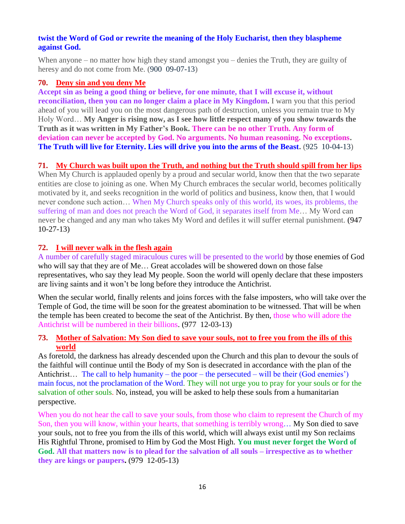#### **twist the Word of God or rewrite the meaning of the Holy Eucharist, then they blaspheme against God.**

When anyone – no matter how high they stand amongst you – denies the Truth, they are guilty of heresy and do not come from Me. (900 09-07-13)

### **70. [Deny sin and you deny Me](http://www.thewarningsecondcoming.com/deny-sin-and-you-deny-me/)**

**Accept sin as being a good thing or believe, for one minute, that I will excuse it, without reconciliation, then you can no longer claim a place in My Kingdom.** I warn you that this period ahead of you will lead you on the most dangerous path of destruction, unless you remain true to My Holy Word… **My Anger is rising now, as I see how little respect many of you show towards the Truth as it was written in My Father's Book. There can be no other Truth. Any form of deviation can never be accepted by God. No arguments. No human reasoning. No exceptions. The Truth will live for Eternity. Lies will drive you into the arms of the Beast.** (925 10-04-13)

## **71. [My Church was built upon the Truth, and nothing but the Truth should spill from her lips](http://www.thewarningsecondcoming.com/my-church-was-built-upon-the-truth-and-nothing-but-the-truth-should-spill-from-her-lips/)**

When My Church is applauded openly by a proud and secular world, know then that the two separate entities are close to joining as one. When My Church embraces the secular world, becomes politically motivated by it, and seeks recognition in the world of politics and business, know then, that I would never condone such action… When My Church speaks only of this world, its woes, its problems, the suffering of man and does not preach the Word of God, it separates itself from Me… My Word can never be changed and any man who takes My Word and defiles it will suffer eternal punishment. (947 10-27-13)

# **72. [I will never walk in the flesh again](http://www.thewarningsecondcoming.com/i-will-never-walk-in-the-flesh-again/)**

A number of carefully staged miraculous cures will be presented to the world by those enemies of God who will say that they are of Me… Great accolades will be showered down on those false representatives, who say they lead My people. Soon the world will openly declare that these imposters are living saints and it won't be long before they introduce the Antichrist.

When the secular world, finally relents and joins forces with the false imposters, who will take over the Temple of God, the time will be soon for the greatest abomination to be witnessed. That will be when the temple has been created to become the seat of the Antichrist. By then, those who will adore the Antichrist will be numbered in their billions. (977 12-03-13)

### **73. [Mother of Salvation: My Son died to save your souls, not to free you from the ills of this](http://www.thewarningsecondcoming.com/mother-of-salvation-my-son-died-to-save-your-souls-not-to-free-you-from-the-ills-of-this-world/)  [world](http://www.thewarningsecondcoming.com/mother-of-salvation-my-son-died-to-save-your-souls-not-to-free-you-from-the-ills-of-this-world/)**

As foretold, the darkness has already descended upon the Church and this plan to devour the souls of the faithful will continue until the Body of my Son is desecrated in accordance with the plan of the Antichrist… The call to help humanity – the poor – the persecuted – will be their (God enemies') main focus, not the proclamation of the Word. They will not urge you to pray for your souls or for the salvation of other souls. No, instead, you will be asked to help these souls from a humanitarian perspective.

When you do not hear the call to save your souls, from those who claim to represent the Church of my Son, then you will know, within your hearts, that something is terribly wrong… My Son died to save your souls, not to free you from the ills of this world, which will always exist until my Son reclaims His Rightful Throne, promised to Him by God the Most High. **You must never forget the Word of God. All that matters now is to plead for the salvation of all souls – irrespective as to whether they are kings or paupers.** (979 12-05-13)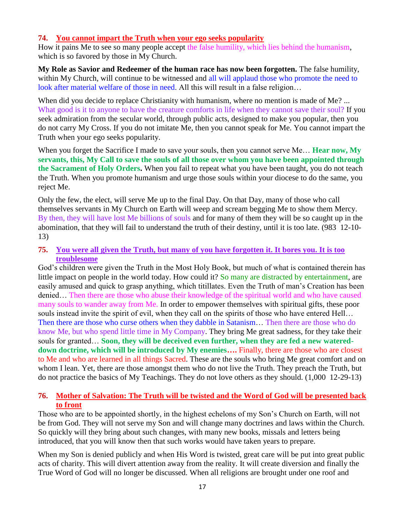#### **74. [You cannot impart the Truth when your ego seeks popularity](http://www.thewarningsecondcoming.com/you-cannot-impart-the-truth-when-your-ego-seeks-popularity/)**

How it pains Me to see so many people accept the false humility, which lies behind the humanism, which is so favored by those in My Church.

**My Role as Savior and Redeemer of the human race has now been forgotten.** The false humility, within My Church, will continue to be witnessed and all will applaud those who promote the need to look after material welfare of those in need. All this will result in a false religion...

When did you decide to replace Christianity with humanism, where no mention is made of Me? ... What good is it to anyone to have the creature comforts in life when they cannot save their soul? If you seek admiration from the secular world, through public acts, designed to make you popular, then you do not carry My Cross. If you do not imitate Me, then you cannot speak for Me. You cannot impart the Truth when your ego seeks popularity.

When you forget the Sacrifice I made to save your souls, then you cannot serve Me… **Hear now, My servants, this, My Call to save the souls of all those over whom you have been appointed through the Sacrament of Holy Orders.** When you fail to repeat what you have been taught, you do not teach the Truth. When you promote humanism and urge those souls within your diocese to do the same, you reject Me.

Only the few, the elect, will serve Me up to the final Day. On that Day, many of those who call themselves servants in My Church on Earth will weep and scream begging Me to show them Mercy. By then, they will have lost Me billions of souls and for many of them they will be so caught up in the abomination, that they will fail to understand the truth of their destiny, until it is too late. (983 12-10- 13)

**75. [You were all given the Truth, but many of you have forgotten it. It bores you. It is too](http://www.thewarningsecondcoming.com/you-were-all-given-the-truth-but-many-of-you-have-forgotten-it-it-bores-you-it-is-too-troublesome/)  [troublesome](http://www.thewarningsecondcoming.com/you-were-all-given-the-truth-but-many-of-you-have-forgotten-it-it-bores-you-it-is-too-troublesome/)**

God's children were given the Truth in the Most Holy Book, but much of what is contained therein has little impact on people in the world today. How could it? So many are distracted by entertainment, are easily amused and quick to grasp anything, which titillates. Even the Truth of man's Creation has been denied… Then there are those who abuse their knowledge of the spiritual world and who have caused many souls to wander away from Me. In order to empower themselves with spiritual gifts, these poor souls instead invite the spirit of evil, when they call on the spirits of those who have entered Hell... Then there are those who curse others when they dabble in Satanism… Then there are those who do know Me, but who spend little time in My Company. They bring Me great sadness, for they take their souls for granted… **Soon, they will be deceived even further, when they are fed a new watereddown doctrine, which will be introduced by My enemies….** Finally, there are those who are closest to Me and who are learned in all things Sacred. These are the souls who bring Me great comfort and on whom I lean. Yet, there are those amongst them who do not live the Truth. They preach the Truth, but do not practice the basics of My Teachings. They do not love others as they should. (1,000 12-29-13)

### **76. [Mother of Salvation: The Truth will be twisted and the Word of God will be presented back](http://www.thewarningsecondcoming.com/mother-of-salvation-the-truth-will-be-twisted-and-the-word-of-god-will-be-presented-back-to-front/)  [to front](http://www.thewarningsecondcoming.com/mother-of-salvation-the-truth-will-be-twisted-and-the-word-of-god-will-be-presented-back-to-front/)**

Those who are to be appointed shortly, in the highest echelons of my Son's Church on Earth, will not be from God. They will not serve my Son and will change many doctrines and laws within the Church. So quickly will they bring about such changes, with many new books, missals and letters being introduced, that you will know then that such works would have taken years to prepare.

When my Son is denied publicly and when His Word is twisted, great care will be put into great public acts of charity. This will divert attention away from the reality. It will create diversion and finally the True Word of God will no longer be discussed. When all religions are brought under one roof and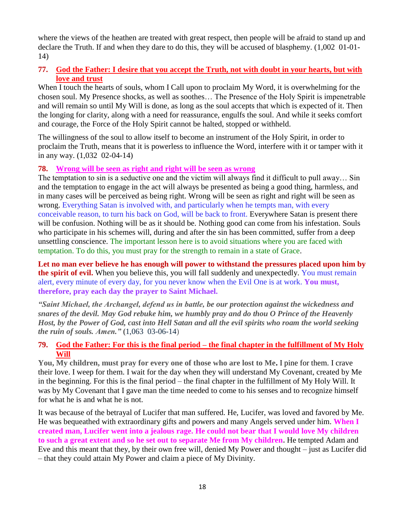where the views of the heathen are treated with great respect, then people will be afraid to stand up and declare the Truth. If and when they dare to do this, they will be accused of blasphemy. (1,002 01-01- 14)

### **77. [God the Father: I desire that you accept the Truth, not with doubt in your hearts, but with](http://www.thewarningsecondcoming.com/god-the-father-i-desire-that-you-accept-the-truth-not-with-doubt-in-your-hearts-but-with-love-and-trust/)  [love and trust](http://www.thewarningsecondcoming.com/god-the-father-i-desire-that-you-accept-the-truth-not-with-doubt-in-your-hearts-but-with-love-and-trust/)**

When I touch the hearts of souls, whom I Call upon to proclaim My Word, it is overwhelming for the chosen soul. My Presence shocks, as well as soothes… The Presence of the Holy Spirit is impenetrable and will remain so until My Will is done, as long as the soul accepts that which is expected of it. Then the longing for clarity, along with a need for reassurance, engulfs the soul. And while it seeks comfort and courage, the Force of the Holy Spirit cannot be halted, stopped or withheld.

The willingness of the soul to allow itself to become an instrument of the Holy Spirit, in order to proclaim the Truth, means that it is powerless to influence the Word, interfere with it or tamper with it in any way. (1,032 02-04-14)

### **78. [Wrong will be seen as right and right will be seen as wrong](http://www.thewarningsecondcoming.com/wrong-will-be-seen-as-right-and-right-will-be-seen-as-wrong/)**

The temptation to sin is a seductive one and the victim will always find it difficult to pull away… Sin and the temptation to engage in the act will always be presented as being a good thing, harmless, and in many cases will be perceived as being right. Wrong will be seen as right and right will be seen as wrong. Everything Satan is involved with, and particularly when he tempts man, with every conceivable reason, to turn his back on God, will be back to front. Everywhere Satan is present there will be confusion. Nothing will be as it should be. Nothing good can come from his infestation. Souls who participate in his schemes will, during and after the sin has been committed, suffer from a deep unsettling conscience. The important lesson here is to avoid situations where you are faced with temptation. To do this, you must pray for the strength to remain in a state of Grace.

**Let no man ever believe he has enough will power to withstand the pressures placed upon him by the spirit of evil.** When you believe this, you will fall suddenly and unexpectedly. You must remain alert, every minute of every day, for you never know when the Evil One is at work. **You must, therefore, pray each day the prayer to Saint Michael.**

*"Saint Michael, the Archangel, defend us in battle, be our protection against the wickedness and snares of the devil. May God rebuke him, we humbly pray and do thou O Prince of the Heavenly Host, by the Power of God, cast into Hell Satan and all the evil spirits who roam the world seeking the ruin of souls. Amen."* **(**1,063 03-06-14)

#### **79. God the Father: For this is the final period – [the final chapter in the fulfillment of My Holy](http://www.thewarningsecondcoming.com/god-the-father-for-this-is-the-final-period-the-final-chapter-in-the-fulfillment-of-my-holy-will/)  [Will](http://www.thewarningsecondcoming.com/god-the-father-for-this-is-the-final-period-the-final-chapter-in-the-fulfillment-of-my-holy-will/)**

**You, My children, must pray for every one of those who are lost to Me.** I pine for them. I crave their love. I weep for them. I wait for the day when they will understand My Covenant, created by Me in the beginning. For this is the final period – the final chapter in the fulfillment of My Holy Will. It was by My Covenant that I gave man the time needed to come to his senses and to recognize himself for what he is and what he is not.

It was because of the betrayal of Lucifer that man suffered. He, Lucifer, was loved and favored by Me. He was bequeathed with extraordinary gifts and powers and many Angels served under him. **When I created man, Lucifer went into a jealous rage. He could not bear that I would love My children to such a great extent and so he set out to separate Me from My children.** He tempted Adam and Eve and this meant that they, by their own free will, denied My Power and thought – just as Lucifer did – that they could attain My Power and claim a piece of My Divinity.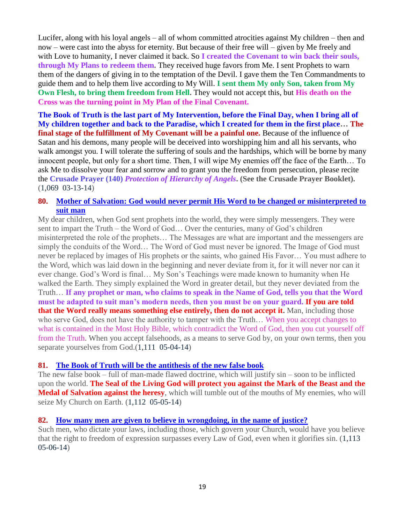Lucifer, along with his loyal angels – all of whom committed atrocities against My children – then and now – were cast into the abyss for eternity. But because of their free will – given by Me freely and with Love to humanity, I never claimed it back. So **I created the Covenant to win back their souls, through My Plans to redeem them.** They received huge favors from Me. I sent Prophets to warn them of the dangers of giving in to the temptation of the Devil. I gave them the Ten Commandments to guide them and to help them live according to My Will. **I sent them My only Son, taken from My Own Flesh, to bring them freedom from Hell.** They would not accept this, but **His death on the Cross was the turning point in My Plan of the Final Covenant.**

**The Book of Truth is the last part of My Intervention, before the Final Day, when I bring all of My children together and back to the Paradise, which I created for them in the first place… The final stage of the fulfillment of My Covenant will be a painful one.** Because of the influence of Satan and his demons, many people will be deceived into worshipping him and all his servants, who walk amongst you. I will tolerate the suffering of souls and the hardships, which will be borne by many innocent people, but only for a short time. Then, I will wipe My enemies off the face of the Earth… To ask Me to dissolve your fear and sorrow and to grant you the freedom from persecution, please recite the **Crusade Prayer (140)** *Protection of Hierarchy of Angels***. (See the Crusade Prayer Booklet).**  (1,069 03-13-14)

#### **80. [Mother of Salvation: God would never permit His Word to be changed or misinterpreted to](http://www.thewarningsecondcoming.com/my-love-for-humanity-is-whole-i-love-all-including-those-who-commit-the-most-wicked-acts/)  [suit man](http://www.thewarningsecondcoming.com/my-love-for-humanity-is-whole-i-love-all-including-those-who-commit-the-most-wicked-acts/)**

My dear children, when God sent prophets into the world, they were simply messengers. They were sent to impart the Truth – the Word of God… Over the centuries, many of God's children misinterpreted the role of the prophets… The Messages are what are important and the messengers are simply the conduits of the Word… The Word of God must never be ignored. The Image of God must never be replaced by images of His prophets or the saints, who gained His Favor… You must adhere to the Word, which was laid down in the beginning and never deviate from it, for it will never nor can it ever change. God's Word is final… My Son's Teachings were made known to humanity when He walked the Earth. They simply explained the Word in greater detail, but they never deviated from the Truth… **If any prophet or man, who claims to speak in the Name of God, tells you that the Word must be adapted to suit man's modern needs, then you must be on your guard. If you are told that the Word really means something else entirely, then do not accept it.** Man, including those who serve God, does not have the authority to tamper with the Truth… When you accept changes to what is contained in the Most Holy Bible, which contradict the Word of God, then you cut yourself off from the Truth. When you accept falsehoods, as a means to serve God by, on your own terms, then you separate yourselves from God.(1,111 05-04-14)

### **81. [The Book of Truth will be the antithesis of the new false book](http://www.thewarningsecondcoming.com/the-book-of-truth-will-be-the-antithesis-of-the-new-false-book/)**

The new false book – full of man-made flawed doctrine, which will justify sin – soon to be inflicted upon the world. **The Seal of the Living God will protect you against the Mark of the Beast and the Medal of Salvation against the heresy**, which will tumble out of the mouths of My enemies, who will seize My Church on Earth. (1,112 05-05-14)

### **82. [How many men are given to believe in wrongdoing, in the name of justice?](http://www.thewarningsecondcoming.com/very-soon-hell-will-be-formally-declared-as-a-place-which-does-not-exist/)**

Such men, who dictate your laws, including those, which govern your Church, would have you believe that the right to freedom of expression surpasses every Law of God, even when it glorifies sin. (1,113 05-06-14)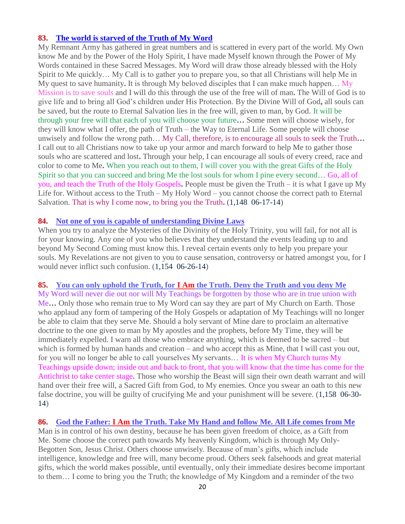### **83. [The world is starved of the Truth of My Word](http://www.thewarningsecondcoming.com/the-world-is-starved-of-the-truth-of-my-word/)**

My Remnant Army has gathered in great numbers and is scattered in every part of the world. My Own know Me and by the Power of the Holy Spirit, I have made Myself known through the Power of My Words contained in these Sacred Messages. My Word will draw those already blessed with the Holy Spirit to Me quickly… My Call is to gather you to prepare you, so that all Christians will help Me in My quest to save humanity**.** It is through My beloved disciples that I can make much happen… My Mission is to save souls and I will do this through the use of the free will of man**.** The Will of God is to give life and to bring all God's children under His Protection. By the Divine Will of God**,** all souls can be saved, but the route to Eternal Salvation lies in the free will, given to man, by God. It will be through your free will that each of you will choose your future**…** Some men will choose wisely, for they will know what I offer, the path of Truth – the Way to Eternal Life. Some people will choose unwisely and follow the wrong path… My Call, therefore, is to encourage all souls to seek the Truth**…**  I call out to all Christians now to take up your armor and march forward to help Me to gather those souls who are scattered and lost**.** Through your help, I can encourage all souls of every creed, race and color to come to Me**.** When you reach out to them, I will cover you with the great Gifts of the Holy Spirit so that you can succeed and bring Me the lost souls for whom I pine every second… Go, all of you, and teach the Truth of the Holy Gospels**.** People must be given the Truth – it is what I gave up My Life for. Without access to the Truth – My Holy Word – you cannot choose the correct path to Eternal Salvation. That is why I come now, to bring you the Truth**.** (1,148 06-17-14)

#### **84. [Not one of you is capable of understanding Divine Laws](http://www.thewarningsecondcoming.com/not-one-of-you-is-capable-of-understanding-divine-laws/)**

When you try to analyze the Mysteries of the Divinity of the Holy Trinity, you will fail, for not all is for your knowing. Any one of you who believes that they understand the events leading up to and beyond My Second Coming must know this. I reveal certain events only to help you prepare your souls. My Revelations are not given to you to cause sensation, controversy or hatred amongst you, for I would never inflict such confusion. (1,154 06-26-14)

#### **85. You can only uphold the Truth, for I Am [the Truth. Deny the Truth and you deny Me](http://www.thewarningsecondcoming.com/you-can-only-uphold-the-truth-for-i-am-the-truth-deny-the-truth-and-you-deny-me/)**

My Word will never die out nor will My Teachings be forgotten by those who are in true union with Me**…** Only those who remain true to My Word can say they are part of My Church on Earth. Those who applaud any form of tampering of the Holy Gospels or adaptation of My Teachings will no longer be able to claim that they serve Me. Should a holy servant of Mine dare to proclaim an alternative doctrine to the one given to man by My apostles and the prophets, before My Time, they will be immediately expelled. I warn all those who embrace anything, which is deemed to be sacred – but which is formed by human hands and creation – and who accept this as Mine, that I will cast you out, for you will no longer be able to call yourselves My servants… It is when My Church turns My Teachings upside down; inside out and back to front, that you will know that the time has come for the Antichrist to take center stage**.** Those who worship the Beast will sign their own death warrant and will hand over their free will, a Sacred Gift from God, to My enemies. Once you swear an oath to this new false doctrine, you will be guilty of crucifying Me and your punishment will be severe. (1,158 06-30- 14)

### **86. God the Father: I Am [the Truth. Take My Hand and follow Me. All Life comes from Me](http://www.thewarningsecondcoming.com/god-the-father-i-am-the-truth-take-my-hand-and-follow-me-all-life-comes-from-me/)**

Man is in control of his own destiny, because he has been given freedom of choice, as a Gift from Me. Some choose the correct path towards My heavenly Kingdom, which is through My Only-Begotten Son, Jesus Christ. Others choose unwisely. Because of man's gifts, which include intelligence, knowledge and free will, many become proud. Others seek falsehoods and great material gifts, which the world makes possible, until eventually, only their immediate desires become important to them… I come to bring you the Truth; the knowledge of My Kingdom and a reminder of the two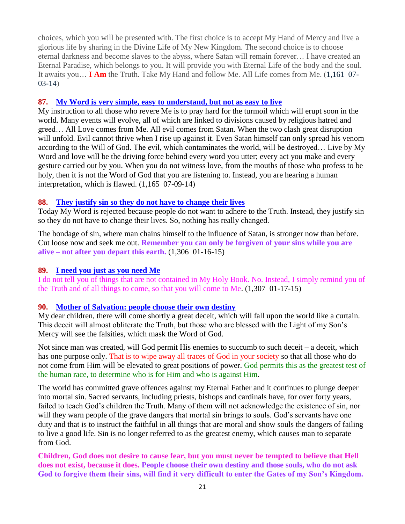choices, which you will be presented with. The first choice is to accept My Hand of Mercy and live a glorious life by sharing in the Divine Life of My New Kingdom. The second choice is to choose eternal darkness and become slaves to the abyss, where Satan will remain forever… I have created an Eternal Paradise, which belongs to you. It will provide you with Eternal Life of the body and the soul. It awaits you… **I Am** the Truth. Take My Hand and follow Me. All Life comes from Me. (1,161 07- 03-14)

#### **87. [My Word is very simple, easy to understand, but not as easy to live](http://www.thewarningsecondcoming.com/my-word-is-very-simple-easy-to-understand-but-not-as-easy-to-live/)**

My instruction to all those who revere Me is to pray hard for the turmoil which will erupt soon in the world. Many events will evolve, all of which are linked to divisions caused by religious hatred and greed… All Love comes from Me. All evil comes from Satan. When the two clash great disruption will unfold. Evil cannot thrive when I rise up against it. Even Satan himself can only spread his venom according to the Will of God. The evil, which contaminates the world, will be destroyed… Live by My Word and love will be the driving force behind every word you utter; every act you make and every gesture carried out by you. When you do not witness love, from the mouths of those who profess to be holy, then it is not the Word of God that you are listening to. Instead, you are hearing a human interpretation, which is flawed. (1,165 07-09-14)

#### **88. [They justify sin so they do not have to change their lives](http://www.thewarningsecondcoming.com/they-justify-sin-so-they-do-not-have-to-change-their-lives/)**

Today My Word is rejected because people do not want to adhere to the Truth. Instead, they justify sin so they do not have to change their lives. So, nothing has really changed.

The bondage of sin, where man chains himself to the influence of Satan, is stronger now than before. Cut loose now and seek me out. **Remember you can only be forgiven of your sins while you are alive – not after you depart this earth.** (1,306 01-16-15)

#### **89. [I need you just as you need Me](http://www.thewarningsecondcoming.com/i-need-you-just-as-you-need-me/)**

I do not tell you of things that are not contained in My Holy [Book.](http://www.thewarningsecondcoming.com/i-need-you-just-as-you-need-me/) No. Instead, I simply remind you of the Truth and of all things to come, so that you will come to Me. (1,307 01-17-15)

#### **90. [Mother of Salvation: people choose their own destiny](http://www.thewarningsecondcoming.com/mother-of-salvation-people-choose-their-own-destiny/)**

My dear children, there will come shortly a great deceit, which will fall upon the world like a curtain. This deceit will almost obliterate the Truth, but those who are blessed with the Light of my Son's Mercy will see the falsities, which mask the [Word of God.](http://www.thewarningsecondcoming.com/mother-of-salvation-people-choose-their-own-destiny/)

Not since man was created, will God permit His enemies to succumb to such deceit – a deceit, which has one [purpose](http://www.thewarningsecondcoming.com/mother-of-salvation-people-choose-their-own-destiny/) only. That is to wipe away all traces of God in your society so that all those who do not come from Him will be elevated to great positions of power. God permits this as the greatest test of the human race, to determine who is for Him and who is against Him.

The world has committed grave offences against my Eternal Father and it continues to plunge deeper into mortal sin. Sacred [servants,](http://www.thewarningsecondcoming.com/mother-of-salvation-people-choose-their-own-destiny/) including priests, bishops and cardinals have, for over forty years, failed to teach God's children the Truth. Many of them will not acknowledge the existence of sin, nor will they warn people of the grave dangers that mortal sin brings to souls. God's servants have one duty and that is to instruct the faithful in all things that are moral and show souls the dangers of failing to live a good life. Sin is no longer referred to as the greatest enemy, which causes man to separate from God.

**Children, God does not desire to cause fear, but you must never be tempted to believe that Hell does not exist, because it does. [People choose](http://www.thewarningsecondcoming.com/mother-of-salvation-people-choose-their-own-destiny/) their own destiny and those souls, who do not ask God to forgive them their sins, will find it very difficult to enter the Gates of my Son's Kingdom.**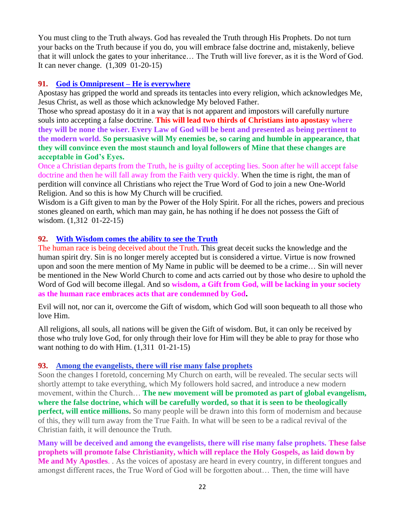You must cling to the Truth always. God has revealed the Truth through His Prophets. Do not turn your backs on the Truth because if you do, you will embrace false doctrine and, mistakenly, believe that it will [unlock](http://www.thewarningsecondcoming.com/mother-of-salvation-people-choose-their-own-destiny/) the gates to your inheritance… The Truth will live forever, as it is the Word of God. It can never change. (1,309 01-20-15)

### **91. [God is Omnipresent –](http://www.thewarningsecondcoming.com/god-is-omnipresent-he-is-everywhere/) He is everywhere**

Apostasy has gripped the world and spreads its tentacles into every religion, which acknowledges Me, Jesus Christ, as well as those which acknowledge My beloved Father.

Those who spread apostasy do it in a way that is not apparent and impostors will carefully nurture souls into accepting a false [doctrine.](http://www.thewarningsecondcoming.com/god-is-omnipresent-he-is-everywhere/) **This will lead two thirds of Christians into apostasy where they will be none the wiser. Every Law of God will be bent and presented as being pertinent to the modern world. So persuasive will My enemies be, so caring and humble in appearance, that they will convince even the most staunch and loyal followers of Mine that these changes are acceptable in God's Eyes.**

Once a Christian departs from the Truth, he is guilty of accepting lies. Soon after he will accept false doctrine and then he will fall away from the Faith very quickly. When the time is right, the man of perdition will convince all Christians who reject the True Word of God to join a new One-World Religion. And so this is how My Church will be crucified.

Wisdom is a Gift given to man by the Power of the Holy Spirit. For all the riches, powers and precious stones gleaned on earth, which man may gain, he has nothing if he does not possess the Gift of wisdom. (1,312 01-22-15)

### **92. [With Wisdom comes the ability to see the Truth](http://www.thewarningsecondcoming.com/with-wisdom-comes-the-ability-to-see-the-truth/)**

The human race is being deceived about the Truth. This great deceit sucks the knowledge and the human spirit dry. Sin is no longer merely accepted but is considered a virtue. Virtue is now frowned upon and soon the mere mention of My Name in public will be deemed to be a crime… Sin will never be mentioned in the New World Church to come and acts carried out by those who desire to uphold the Word of God will become illegal. And so **wisdom, a Gift from God, will be lacking in your society as the human race embraces acts that are condemned by God.**

Evil will not, nor can it, overcome the Gift of wisdom, which God will soon bequeath to all those who love Him.

All religions, all souls, all nations will be given the Gift of wisdom. But, it can only be received by those who truly love God, for only through their love for Him will they be able to pray for those who want nothing to do with Him. (1,311 01-21-15)

### **93. [Among the evangelists, there will rise many false prophets](http://www.thewarningsecondcoming.com/among-the-evangelists-there-will-rise-many-false-prophets/)**

Soon the changes I foretold, concerning My Church on earth, will be revealed. The secular sects will shortly attempt to take everything, which My followers hold sacred, and introduce a new modern movement, within the Church… **The new movement will be promoted as part of global evangelism, where the false doctrine, which will be carefully worded, so that it is seen to be theologically perfect, will entice millions.** So many people will be drawn into this form of modernism and because of this, they will turn away from the True Faith. In what will be seen to be a radical revival of the Christian faith, it will denounce the Truth.

**Many will be deceived and among the evangelists, there will rise many false prophets. These false prophets will promote false Christianity, which will replace the Holy Gospels, as laid down by Me and My Apostles**. . As the voices of apostasy are heard in every country, in different tongues and amongst different races, the True Word of God will be forgotten about… Then, the time will have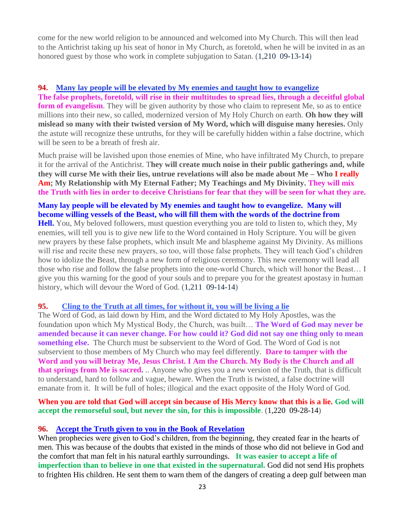come for the new world religion to be announced and welcomed into My Church. This will then lead to the Antichrist taking up his seat of honor in My Church, as foretold, when he will be invited in as an honored guest by those who work in complete subjugation to Satan. (1,210 09-13-14)

#### **94. [Many lay people will be elevated by My enemies and taught how to evangelize](http://www.thewarningsecondcoming.com/many-lay-people-will-be-elevated-by-my-enemies-and-taught-how-to-evangelise/)**

**The false prophets, foretold, will rise in their multitudes to spread lies, through a deceitful global form of evangelism**. They will be given authority by those who claim to represent Me, so as to entice millions into their new, so called, modernized version of My Holy Church on earth. **Oh how they will mislead so many with their twisted version of My Word, which will disguise many heresies.** Only the astute will recognize these untruths, for they will be carefully hidden within a false doctrine, which will be seen to be a breath of fresh air.

Much praise will be lavished upon those enemies of Mine, who have infiltrated My Church, to prepare it for the arrival of the Antichrist. T**hey will create much noise in their public gatherings and, while they will curse Me with their lies, untrue revelations will also be made about Me – Who I really Am; My Relationship with My Eternal Father; My Teachings and My Divinity. They will mix the Truth with lies in order to deceive Christians for fear that they will be seen for what they are.**

# **Many lay people will be elevated by My enemies and taught how to evangelize. Many will become willing vessels of the Beast, who will fill them with the words of the doctrine from**

**Hell.** You, My beloved followers, must question everything you are told to listen to, which they, My enemies, will tell you is to give new life to the Word contained in Holy Scripture. You will be given new prayers by these false prophets, which insult Me and blaspheme against My Divinity. As millions will rise and recite these new prayers, so too, will those false prophets. They will teach God's children how to idolize the Beast, through a new form of religious ceremony. This new ceremony will lead all those who rise and follow the false prophets into the one-world Church, which will honor the Beast… I give you this warning for the good of your souls and to prepare you for the greatest apostasy in human history, which will devour the Word of God. (1,211 09-14-14)

### **95. [Cling to the Truth at all times, for without it, you will be living a lie](http://www.thewarningsecondcoming.com/cling-to-the-truth-at-all-times-for-without-it-you-will-be-living-a-lie/)**

The Word of God, as laid down by Him, and the Word dictated to My Holy Apostles, was the foundation upon which My Mystical Body, the Church, was built… **The Word of God may never be amended because it can never change. For how could it? God did not say one thing only to mean something else.** The Church must be subservient to the Word of God. The Word of God is not subservient to those members of My Church who may feel differently. **Dare to tamper with the Word and you will betray Me, Jesus Christ. I Am the Church. My Body is the Church and all that springs from Me is sacred.** .. Anyone who gives you a new version of the Truth, that is difficult to understand, hard to follow and vague, beware. When the Truth is twisted, a false doctrine will emanate from it. It will be full of holes; illogical and the exact opposite of the Holy Word of God.

**When you are told that God will accept sin because of His Mercy know that this is a lie. God will accept the remorseful soul, but never the sin, for this is impossible**. (1,220 09-28-14)

### **96. [Accept the Truth given to you in the Book of Revelation](http://www.thewarningsecondcoming.com/accept-the-truth-given-to-you-in-the-book-of-revelation/)**

When prophecies were given to God's children, from the beginning, they created fear in the hearts of men. This was because of the doubts that existed in the minds of those who did not believe in God and the comfort that man felt in his natural earthly surroundings. **It was easier to accept a life of imperfection than to believe in one that existed in the supernatural.** God did not send His prophets to frighten His children. He sent them to warn them of the dangers of creating a deep gulf between man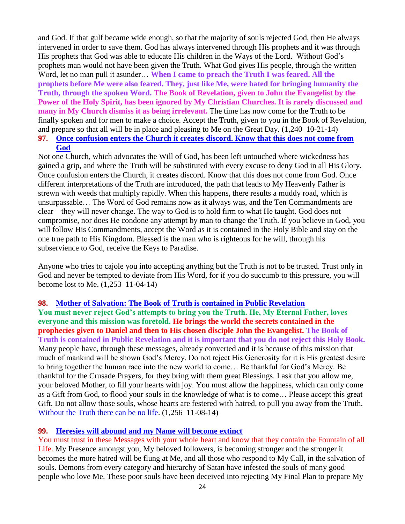and God. If that gulf became wide enough, so that the majority of souls rejected God, then He always intervened in order to save them. God has always intervened through His prophets and it was through His prophets that God was able to educate His children in the Ways of the Lord. Without God's prophets man would not have been given the Truth. What God gives His people, through the written Word, let no man pull it asunder… **When I came to preach the Truth I was feared. All the prophets before Me were also feared. They, just like Me, were hated for bringing humanity the Truth, through the spoken Word. The Book of Revelation, given to John the Evangelist by the Power of the Holy Spirit, has been ignored by My Christian Churches. It is rarely discussed and many in My Church dismiss it as being irrelevant.** The time has now come for the Truth to be finally spoken and for men to make a choice. Accept the Truth, given to you in the Book of Revelation, and prepare so that all will be in place and pleasing to Me on the Great Day. (1,240 10-21-14) **97. [Once confusion enters the Church it creates discord. Know that this does not come from](http://www.thewarningsecondcoming.com/once-confusion-enters-the-church-it-creates-discord-know-that-this-does-not-come-from-god/)** 

#### **[God](http://www.thewarningsecondcoming.com/once-confusion-enters-the-church-it-creates-discord-know-that-this-does-not-come-from-god/)**

Not one Church, which advocates the Will of God, has been left untouched where wickedness has gained a grip, and where the Truth will be substituted with every excuse to deny God in all His Glory. Once confusion enters the Church, it creates discord. Know that this does not come from God. Once different interpretations of the Truth are introduced, the path that leads to My Heavenly Father is strewn with weeds that multiply rapidly. When this happens, there results a muddy road, which is unsurpassable… The Word of God remains now as it always was, and the Ten Commandments are clear – they will never change. The way to God is to hold firm to what He taught. God does not compromise, nor does He condone any attempt by man to change the Truth. If you believe in God, you will follow His Commandments, accept the Word as it is contained in the Holy Bible and stay on the one true path to His Kingdom. Blessed is the man who is righteous for he will, through his subservience to God, receive the Keys to Paradise.

Anyone who tries to cajole you into accepting anything but the Truth is not to be trusted. Trust only in God and never be tempted to deviate from His Word, for if you do succumb to this pressure, you will become lost to Me. (1,253 11-04-14)

#### **98. [Mother of Salvation: The Book of Truth is contained in](http://www.thewarningsecondcoming.com/mother-of-salvation-the-book-of-truth-is-contained-in-public-revelation/) Public Revelation**

**You must never reject God's attempts to bring you the Truth. He, My Eternal Father, loves everyone and this mission was foretold. He brings the world the secrets contained in the prophecies given to Daniel and then to His chosen disciple John the Evangelist. The Book of Truth is contained in Public Revelation and it is important that you do not reject this Holy Book.**  Many people have, through these messages, already converted and it is because of this mission that much of mankind will be shown God's Mercy. Do not reject His Generosity for it is His greatest desire to bring together the human race into the new world to come… Be thankful for God's Mercy. Be thankful for the Crusade Prayers, for they bring with them great Blessings. I ask that you allow me, your beloved Mother, to fill your hearts with joy. You must allow the happiness, which can only come as a Gift from God, to flood your souls in the knowledge of what is to come… Please accept this great Gift. Do not allow those souls, whose hearts are festered with hatred, to pull you away from the Truth. Without the Truth there can be no life. (1,256 11-08-14)

#### **99. [Heresies will abound and my Name will become extinct](http://www.thewarningsecondcoming.com/heresies-will-abound-and-my-name-will-become-extinct/)**

You must trust in these Messages with your whole heart and know that they contain the Fountain of all Life. My Presence amongst you, My beloved followers, is becoming stronger and the stronger it becomes the more hatred will be flung at Me, and all those who respond to My Call, in the salvation of souls. Demons from every category and hierarchy of Satan have infested the souls of many good people who love Me. These poor souls have been deceived into rejecting My Final Plan to prepare My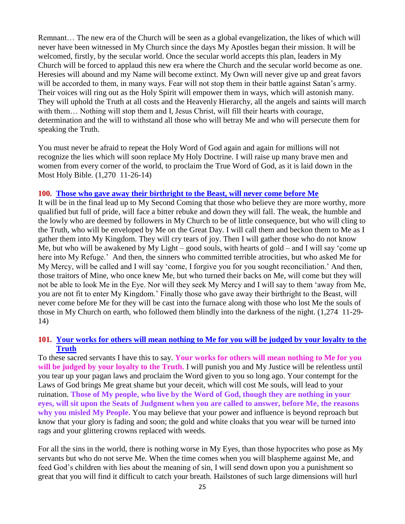Remnant… The new era of the Church will be seen as a global evangelization, the likes of which will never have been witnessed in My Church since the days My Apostles began their mission. It will be welcomed, firstly, by the secular world. Once the secular world accepts this plan, leaders in My Church will be forced to applaud this new era where the Church and the secular world become as one. Heresies will abound and my Name will become extinct. My Own will never give up and great favors will be accorded to them, in many ways. Fear will not stop them in their battle against Satan's army. Their voices will ring out as the Holy Spirit will empower them in ways, which will astonish many. They will uphold the Truth at all costs and the Heavenly Hierarchy, all the angels and saints will march with them… Nothing will stop them and I, Jesus Christ, will fill their hearts with courage, determination and the will to withstand all those who will betray Me and who will persecute them for speaking the Truth.

You must never be afraid to repeat the Holy Word of God again and again for millions will not recognize the lies which will soon replace My Holy Doctrine. I will raise up many brave men and women from every corner of the world, to proclaim the True Word of God, as it is laid down in the Most Holy Bible. (1,270 11-26-14)

#### **100. [Those who gave away their birthright to the Beast, will never come before Me](http://www.thewarningsecondcoming.com/those-who-gave-away-their-birthright-to-the-beast-will-never-come-before-me/)**

It will be in the final lead up to My Second Coming that those who believe they are more worthy, more qualified but full of pride, will face a bitter rebuke and down they will fall. The weak, the humble and the lowly who are deemed by followers in My Church to be of little consequence, but who will cling to the Truth, who will be enveloped by Me on the Great Day. I will call them and beckon them to Me as I gather them into My Kingdom. They will cry tears of joy. Then I will gather those who do not know Me, but who will be awakened by My Light – good souls, with hearts of gold – and I will say 'come up here into My Refuge.' And then, the sinners who committed terrible atrocities, but who asked Me for My Mercy, will be called and I will say 'come, I forgive you for you sought reconciliation.' And then, those traitors of Mine, who once knew Me, but who turned their backs on Me, will come but they will not be able to look Me in the Eye. Nor will they seek My Mercy and I will say to them 'away from Me, you are not fit to enter My Kingdom.' Finally those who gave away their birthright to the Beast, will never come before Me for they will be cast into the furnace along with those who lost Me the souls of those in My Church on earth, who followed them blindly into the darkness of the night. (1,274 11-29- 14)

#### **101. [Your works for others will mean nothing to Me for you will be judged by your loyalty to the](http://www.thewarningsecondcoming.com/your-works-for-others-will-mean-nothing-to-me-for-you-will-be-judged-by-your-loyalty-to-the-truth/)  [Truth](http://www.thewarningsecondcoming.com/your-works-for-others-will-mean-nothing-to-me-for-you-will-be-judged-by-your-loyalty-to-the-truth/)**

To these sacred servants I have this to say. **Your works for others will mean nothing to Me for you will be judged by your loyalty to the Truth.** I will punish you and My Justice will be relentless until you tear up your pagan laws and proclaim the Word given to you so long ago. Your contempt for the Laws of God brings Me great shame but your deceit, which will cost Me souls, will lead to your ruination. **Those of My people, who live by the Word of God, though they are nothing in your eyes, will sit upon the Seats of Judgment when you are called to answer, before Me, the reasons why you misled My People.** You may believe that your power and influence is beyond reproach but know that your glory is fading and soon; the gold and white cloaks that you wear will be turned into rags and your glittering crowns replaced with weeds.

For all the sins in the world, there is nothing worse in My Eyes, than those hypocrites who pose as My servants but who do not serve Me. When the time comes when you will blaspheme against Me, and feed God's children with lies about the meaning of sin, I will send down upon you a punishment so great that you will find it difficult to catch your breath. Hailstones of such large dimensions will hurl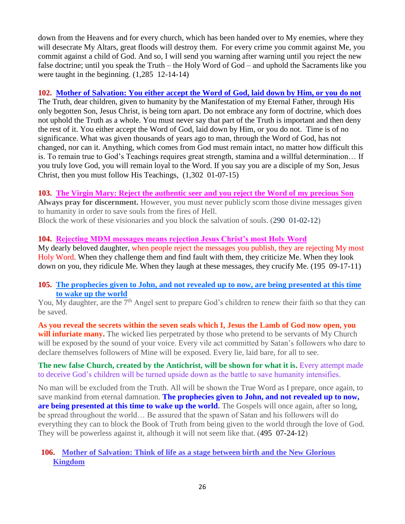down from the Heavens and for every church, which has been handed over to My enemies, where they will desecrate My Altars, great floods will destroy them. For every crime you commit against Me, you commit against a child of God. And so, I will send you warning after warning until you reject the new false doctrine; until you speak the Truth – the Holy Word of God – and uphold the Sacraments like you were taught in the beginning. (1,285 12-14-14)

### **102. [Mother of Salvation: You either accept the Word of God, laid down by Him, or you do not](http://www.thewarningsecondcoming.com/mother-of-salvation-you-either-accept-the-word-of-god-laid-down-by-him-or-you-do-not/)**

The Truth, dear children, given to humanity by the Manifestation of my Eternal Father, through His only begotten Son, Jesus Christ, is being torn apart. Do not embrace any form of doctrine, which does not uphold the Truth as a whole. You must never say that part of the Truth is important and then deny the rest of it. You either accept the Word of God, laid down by Him, or you do not. Time is of no significance. What was given thousands of years ago to man, through the Word of God, has not changed, nor can it. Anything, which comes from God must remain intact, no matter how difficult this is. To remain true to God's Teachings requires great strength, stamina and a willful determination… If you truly love God, you will remain loyal to the Word. If you say you are a disciple of my Son, Jesus Christ, then you must follow His Teachings, (1,302 01-07-15)

### **103. The Virgin Mary: Reject the authentic seer and you reject the Word of my precious Son**

**Always pray for discernment.** However, you must never publicly scorn those divine messages given to humanity in order to save souls from the fires of Hell.

Block the work of these visionaries and you block the salvation of souls. (290 01-02-12)

## **104. Rejecting MDM messages means rejection Jesus Christ's most Holy Word**

My dearly beloved daughter, when people reject the messages you publish, they are rejecting My most Holy Word. When they challenge them and find fault with them, they criticize Me. When they look down on you, they ridicule Me. When they laugh at these messages, they crucify Me. (195 09-17-11)

### **105. [The prophecies given to John, and not revealed up to now, are being presented at this time](http://www.thewarningsecondcoming.com/the-prophecies-given-to-john-and-not-revealed-up-to-now-are-being-presented-at-this-time-to-wake-up-the-world/)  [to wake up the world](http://www.thewarningsecondcoming.com/the-prophecies-given-to-john-and-not-revealed-up-to-now-are-being-presented-at-this-time-to-wake-up-the-world/)**

You, My daughter, are the 7<sup>th</sup> Angel sent to prepare God's children to renew their faith so that they can be saved.

**As you reveal the secrets within the seven seals which I, Jesus the Lamb of God now open, you**  will infuriate many. The wicked lies perpetrated by those who pretend to be servants of My Church will be exposed by the sound of your voice. Every vile act committed by Satan's followers who dare to declare themselves followers of Mine will be exposed. Every lie, laid bare, for all to see.

**The new false Church, created by the Antichrist, will be shown for what it is. Every attempt made** to deceive God's children will be turned upside down as the battle to save humanity intensifies.

No man will be excluded from the Truth. All will be shown the True Word as I prepare, once again, to save mankind from eternal damnation. **The prophecies given to John, and not revealed up to now,** are being presented at this time to wake up the world. The Gospels will once again, after so long, be spread throughout the world… Be assured that the spawn of Satan and his followers will do everything they can to block the Book of Truth from being given to the world through the love of God. They will be powerless against it, although it will not seem like that. (495 07-24-12)

## **106. [Mother of Salvation: Think of life as a stage between birth and the New Glorious](http://www.thewarningsecondcoming.com/mother-of-salvation-think-of-life-as-a-stage-between-birth-and-the-new-glorious-kingdom/)  [Kingdom](http://www.thewarningsecondcoming.com/mother-of-salvation-think-of-life-as-a-stage-between-birth-and-the-new-glorious-kingdom/)**